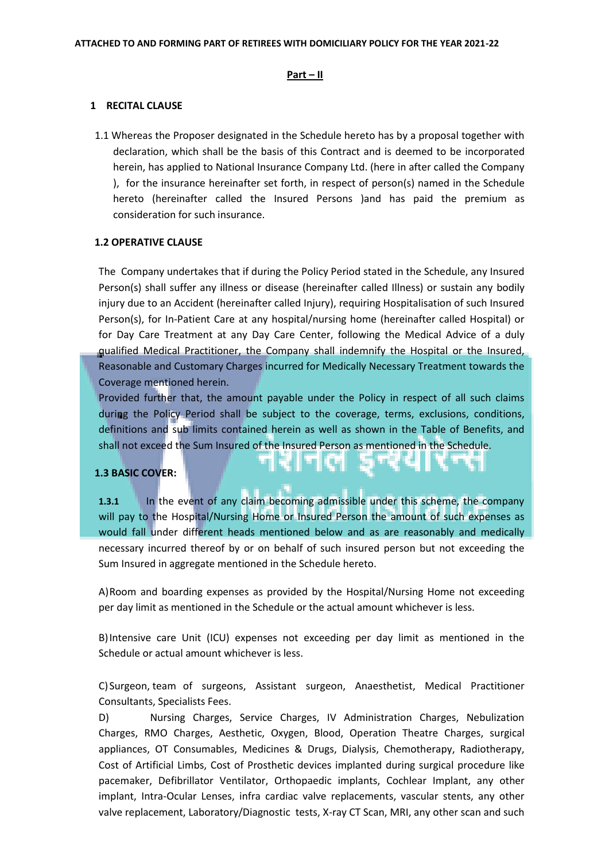### **Part – II**

#### **1 RECITAL CLAUSE**

1.1 Whereas the Proposer designated in the Schedule hereto has by a proposal together with declaration, which shall be the basis of this Contract and is deemed to be incorporated herein, has applied to National Insurance Company Ltd. (here in after called the Company ), for the insurance hereinafter set forth, in respect of person(s) named in the Schedule hereto (hereinafter called the Insured Persons )and has paid the premium as consideration for such insurance.

### **1.2 OPERATIVE CLAUSE**

The Company undertakes that if during the Policy Period stated in the Schedule, any Insured Person(s) shall suffer any illness or disease (hereinafter called Illness) or sustain any bodily injury due to an Accident (hereinafter called Injury), requiring Hospitalisation of such Insured Person(s), for In-Patient Care at any hospital/nursing home (hereinafter called Hospital) or for Day Care Treatment at any Day Care Center, following the Medical Advice of a duly qualified Medical Practitioner, the Company shall indemnify the Hospital or the Insured, Reasonable and Customary Charges incurred for Medically Necessary Treatment towards the Coverage mentioned herein.

Provided further that, the amount payable under the Policy in respect of all such claims during the Policy Period shall be subject to the coverage, terms, exclusions, conditions, definitions and sub limits contained herein as well as shown in the Table of Benefits, and shall not exceed the Sum Insured of the Insured Person as mentioned in the Schedule.

### **1.3 BASIC COVER:**

**1.3.1** In the event of any claim becoming admissible under this scheme, the company will pay to the Hospital/Nursing Home or Insured Person the amount of such expenses as would fall under different heads mentioned below and as are reasonably and medically necessary incurred thereof by or on behalf of such insured person but not exceeding the Sum Insured in aggregate mentioned in the Schedule hereto.

A)Room and boarding expenses as provided by the Hospital/Nursing Home not exceeding per day limit as mentioned in the Schedule or the actual amount whichever is less.

B)Intensive care Unit (ICU) expenses not exceeding per day limit as mentioned in the Schedule or actual amount whichever is less.

C)Surgeon, team of surgeons, Assistant surgeon, Anaesthetist, Medical Practitioner Consultants, Specialists Fees.

D) Nursing Charges, Service Charges, IV Administration Charges, Nebulization Charges, RMO Charges, Aesthetic, Oxygen, Blood, Operation Theatre Charges, surgical appliances, OT Consumables, Medicines & Drugs, Dialysis, Chemotherapy, Radiotherapy, Cost of Artificial Limbs, Cost of Prosthetic devices implanted during surgical procedure like pacemaker, Defibrillator Ventilator, Orthopaedic implants, Cochlear Implant, any other implant, Intra-Ocular Lenses, infra cardiac valve replacements, vascular stents, any other valve replacement, Laboratory/Diagnostic tests, X-ray CT Scan, MRI, any other scan and such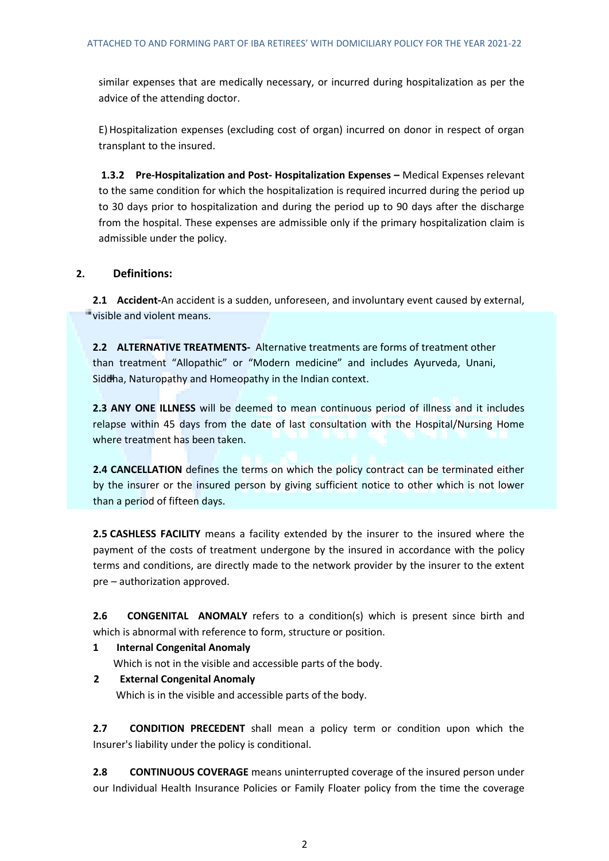similar expenses that are medically necessary, or incurred during hospitalization as per the advice of the attending doctor.

E)Hospitalization expenses (excluding cost of organ) incurred on donor in respect of organ transplant to the insured.

**1.3.2 Pre-Hospitalization and Post- Hospitalization Expenses –** Medical Expenses relevant to the same condition for which the hospitalization is required incurred during the period up to 30 days prior to hospitalization and during the period up to 90 days after the discharge from the hospital. These expenses are admissible only if the primary hospitalization claim is admissible under the policy.

# **2. Definitions:**

**2.1 Accident-**An accident is a sudden, unforeseen, and involuntary event caused by external, visible and violent means.

**2.2 ALTERNATIVE TREATMENTS-** Alternative treatments are forms of treatment other than treatment "Allopathic" or "Modern medicine" and includes Ayurveda, Unani, Siddha, Naturopathy and Homeopathy in the Indian context.

**2.3 ANY ONE ILLNESS** will be deemed to mean continuous period of illness and it includes relapse within 45 days from the date of last consultation with the Hospital/Nursing Home where treatment has been taken.

**2.4 CANCELLATION** defines the terms on which the policy contract can be terminated either by the insurer or the insured person by giving sufficient notice to other which is not lower than a period of fifteen days.

**2.5 CASHLESS FACILITY** means a facility extended by the insurer to the insured where the payment of the costs of treatment undergone by the insured in accordance with the policy terms and conditions, are directly made to the network provider by the insurer to the extent pre – authorization approved.

**2.6 CONGENITAL ANOMALY** refers to a condition(s) which is present since birth and which is abnormal with reference to form, structure or position.

- **1 Internal Congenital Anomaly** Which is not in the visible and accessible parts of the body.
- **2 External Congenital Anomaly** Which is in the visible and accessible parts of the body.

**2.7 CONDITION PRECEDENT** shall mean a policy term or condition upon which the Insurer's liability under the policy is conditional.

**2.8 CONTINUOUS COVERAGE** means uninterrupted coverage of the insured person under our Individual Health Insurance Policies or Family Floater policy from the time the coverage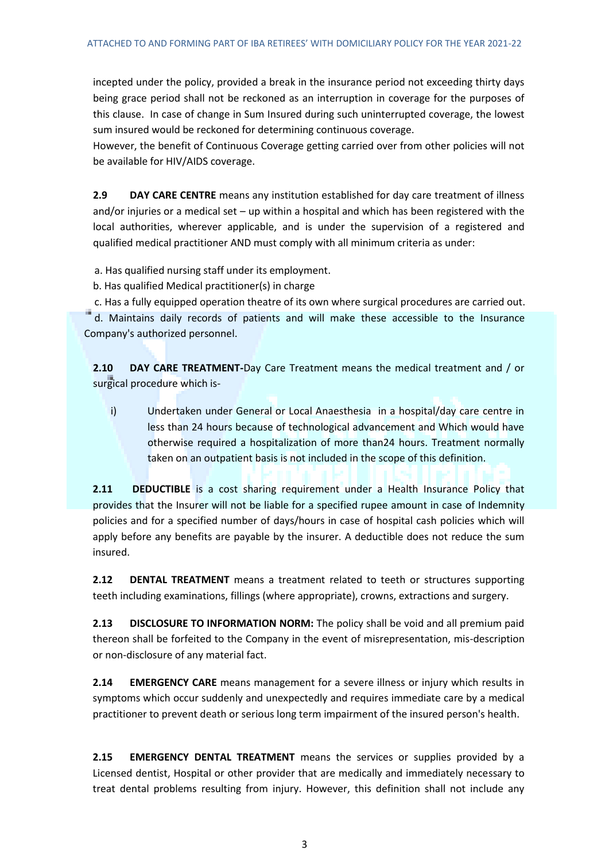incepted under the policy, provided a break in the insurance period not exceeding thirty days being grace period shall not be reckoned as an interruption in coverage for the purposes of this clause. In case of change in Sum Insured during such uninterrupted coverage, the lowest sum insured would be reckoned for determining continuous coverage.

However, the benefit of Continuous Coverage getting carried over from other policies will not be available for HIV/AIDS coverage.

**2.9 DAY CARE CENTRE** means any institution established for day care treatment of illness and/or injuries or a medical set – up within a hospital and which has been registered with the local authorities, wherever applicable, and is under the supervision of a registered and qualified medical practitioner AND must comply with all minimum criteria as under:

a. Has qualified nursing staff under its employment.

b. Has qualified Medical practitioner(s) in charge

 c. Has a fully equipped operation theatre of its own where surgical procedures are carried out. d. Maintains daily records of patients and will make these accessible to the Insurance

Company's authorized personnel.

**2.10 DAY CARE TREATMENT-**Day Care Treatment means the medical treatment and / or surgical procedure which is-

i) Undertaken under General or Local Anaesthesia in a hospital/day care centre in less than 24 hours because of technological advancement and Which would have otherwise required a hospitalization of more than24 hours. Treatment normally taken on an outpatient basis is not included in the scope of this definition.

**2.11 DEDUCTIBLE** is a cost sharing requirement under a Health Insurance Policy that provides that the Insurer will not be liable for a specified rupee amount in case of Indemnity policies and for a specified number of days/hours in case of hospital cash policies which will apply before any benefits are payable by the insurer. A deductible does not reduce the sum insured.

**2.12 DENTAL TREATMENT** means a treatment related to teeth or structures supporting teeth including examinations, fillings (where appropriate), crowns, extractions and surgery.

**2.13 DISCLOSURE TO INFORMATION NORM:** The policy shall be void and all premium paid thereon shall be forfeited to the Company in the event of misrepresentation, mis-description or non-disclosure of any material fact.

**2.14 EMERGENCY CARE** means management for a severe illness or injury which results in symptoms which occur suddenly and unexpectedly and requires immediate care by a medical practitioner to prevent death or serious long term impairment of the insured person's health.

**2.15 EMERGENCY DENTAL TREATMENT** means the services or supplies provided by a Licensed dentist, Hospital or other provider that are medically and immediately necessary to treat dental problems resulting from injury. However, this definition shall not include any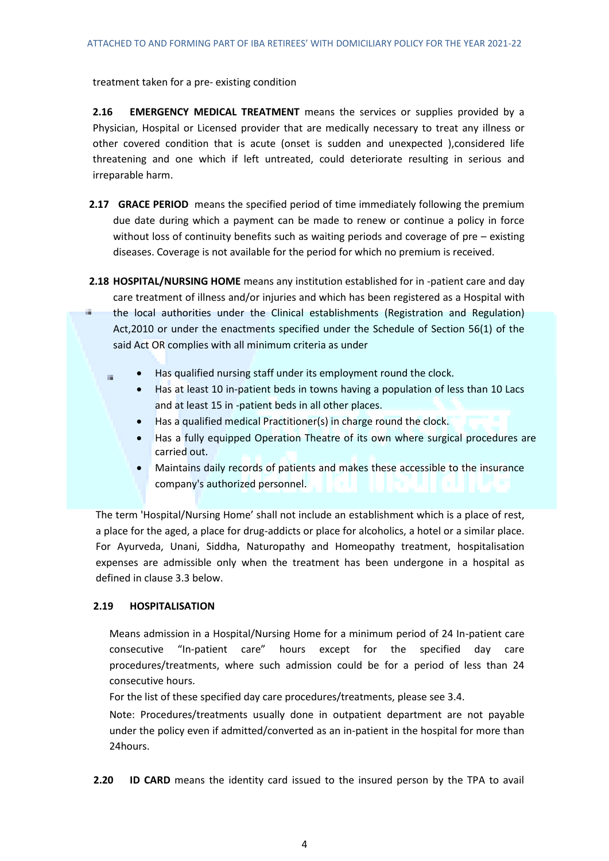treatment taken for a pre- existing condition

**2.16 EMERGENCY MEDICAL TREATMENT** means the services or supplies provided by a Physician, Hospital or Licensed provider that are medically necessary to treat any illness or other covered condition that is acute (onset is sudden and unexpected ),considered life threatening and one which if left untreated, could deteriorate resulting in serious and irreparable harm.

- **2.17 GRACE PERIOD** means the specified period of time immediately following the premium due date during which a payment can be made to renew or continue a policy in force without loss of continuity benefits such as waiting periods and coverage of pre – existing diseases. Coverage is not available for the period for which no premium is received.
- **2.18 HOSPITAL/NURSING HOME** means any institution established for in -patient care and day care treatment of illness and/or injuries and which has been registered as a Hospital with

a. the local authorities under the Clinical establishments (Registration and Regulation) Act,2010 or under the enactments specified under the Schedule of Section 56(1) of the said Act OR complies with all minimum criteria as under

- Has qualified nursing staff under its employment round the clock.
	- Has at least 10 in-patient beds in towns having a population of less than 10 Lacs and at least 15 in -patient beds in all other places.
	- Has a qualified medical Practitioner(s) in charge round the clock.
	- Has a fully equipped Operation Theatre of its own where surgical procedures are carried out.
	- Maintains daily records of patients and makes these accessible to the insurance company's authorized personnel.

The term 'Hospital/Nursing Home' shall not include an establishment which is a place of rest, a place for the aged, a place for drug-addicts or place for alcoholics, a hotel or a similar place. For Ayurveda, Unani, Siddha, Naturopathy and Homeopathy treatment, hospitalisation expenses are admissible only when the treatment has been undergone in a hospital as defined in clause 3.3 below.

## **2.19 HOSPITALISATION**

i.

Means admission in a Hospital/Nursing Home for a minimum period of 24 In-patient care consecutive "In-patient care" hours except for the specified day care procedures/treatments, where such admission could be for a period of less than 24 consecutive hours.

For the list of these specified day care procedures/treatments, please see 3.4.

Note: Procedures/treatments usually done in outpatient department are not payable under the policy even if admitted/converted as an in-patient in the hospital for more than 24hours.

**2.20 ID CARD** means the identity card issued to the insured person by the TPA to avail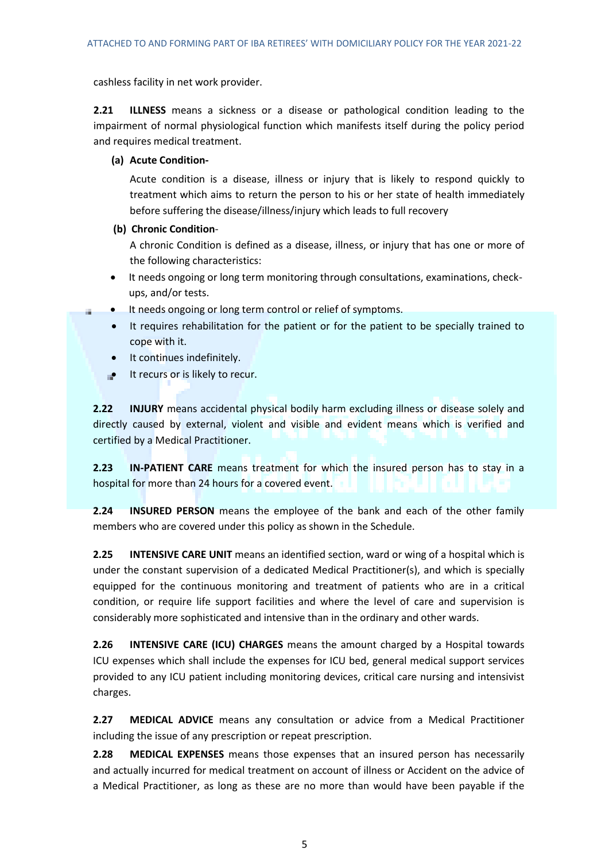cashless facility in net work provider.

**2.21 ILLNESS** means a sickness or a disease or pathological condition leading to the impairment of normal physiological function which manifests itself during the policy period and requires medical treatment.

# **(a) Acute Condition-**

Acute condition is a disease, illness or injury that is likely to respond quickly to treatment which aims to return the person to his or her state of health immediately before suffering the disease/illness/injury which leads to full recovery

# **(b) Chronic Condition**-

A chronic Condition is defined as a disease, illness, or injury that has one or more of the following characteristics:

- It needs ongoing or long term monitoring through consultations, examinations, checkups, and/or tests.
- It needs ongoing or long term control or relief of symptoms.
	- It requires rehabilitation for the patient or for the patient to be specially trained to cope with it.
	- It continues indefinitely.
- $\bullet$  It recurs or is likely to recur.

**2.22 INJURY** means accidental physical bodily harm excluding illness or disease solely and directly caused by external, violent and visible and evident means which is verified and certified by a Medical Practitioner.

**2.23 IN-PATIENT CARE** means treatment for which the insured person has to stay in a hospital for more than 24 hours for a covered event.

**2.24 INSURED PERSON** means the employee of the bank and each of the other family members who are covered under this policy as shown in the Schedule.

**2.25 INTENSIVE CARE UNIT** means an identified section, ward or wing of a hospital which is under the constant supervision of a dedicated Medical Practitioner(s), and which is specially equipped for the continuous monitoring and treatment of patients who are in a critical condition, or require life support facilities and where the level of care and supervision is considerably more sophisticated and intensive than in the ordinary and other wards.

**2.26 INTENSIVE CARE (ICU) CHARGES** means the amount charged by a Hospital towards ICU expenses which shall include the expenses for ICU bed, general medical support services provided to any ICU patient including monitoring devices, critical care nursing and intensivist charges.

**2.27 MEDICAL ADVICE** means any consultation or advice from a Medical Practitioner including the issue of any prescription or repeat prescription.

**2.28 MEDICAL EXPENSES** means those expenses that an insured person has necessarily and actually incurred for medical treatment on account of illness or Accident on the advice of a Medical Practitioner, as long as these are no more than would have been payable if the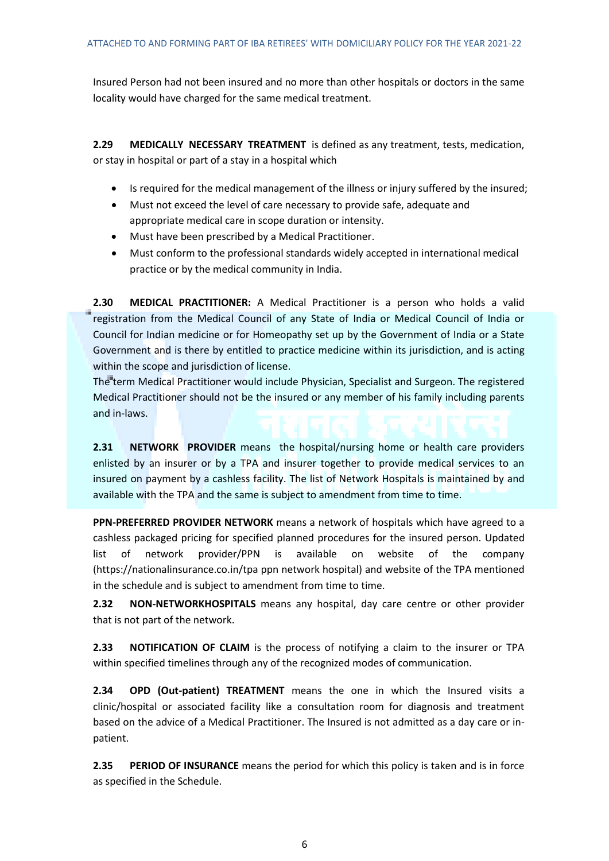Insured Person had not been insured and no more than other hospitals or doctors in the same locality would have charged for the same medical treatment.

**2.29 MEDICALLY NECESSARY TREATMENT** is defined as any treatment, tests, medication, or stay in hospital or part of a stay in a hospital which

- Is required for the medical management of the illness or injury suffered by the insured;
- Must not exceed the level of care necessary to provide safe, adequate and appropriate medical care in scope duration or intensity.
- Must have been prescribed by a Medical Practitioner.
- Must conform to the professional standards widely accepted in international medical practice or by the medical community in India.

**2.30 MEDICAL PRACTITIONER:** A Medical Practitioner is a person who holds a valid registration from the Medical Council of any State of India or Medical Council of India or Council for Indian medicine or for Homeopathy set up by the Government of India or a State Government and is there by entitled to practice medicine within its jurisdiction, and is acting within the scope and jurisdiction of license.

The term Medical Practitioner would include Physician, Specialist and Surgeon. The registered Medical Practitioner should not be the insured or any member of his family including parents and in-laws.

**2.31 NETWORK PROVIDER** means the hospital/nursing home or health care providers enlisted by an insurer or by a TPA and insurer together to provide medical services to an insured on payment by a cashless facility. The list of Network Hospitals is maintained by and available with the TPA and the same is subject to amendment from time to time.

**PPN-PREFERRED PROVIDER NETWORK** means a network of hospitals which have agreed to a cashless packaged pricing for specified planned procedures for the insured person. Updated list of network provider/PPN is available on website of the company [\(https://nationalinsurance.co.in/tpa](https://nationalinsurance.co.in/tpa) ppn network hospital) and website of the TPA mentioned in the schedule and is subject to amendment from time to time.

**2.32 NON-NETWORKHOSPITALS** means any hospital, day care centre or other provider that is not part of the network.

**2.33 NOTIFICATION OF CLAIM** is the process of notifying a claim to the insurer or TPA within specified timelines through any of the recognized modes of communication.

**2.34 OPD (Out-patient) TREATMENT** means the one in which the Insured visits a clinic/hospital or associated facility like a consultation room for diagnosis and treatment based on the advice of a Medical Practitioner. The Insured is not admitted as a day care or inpatient.

**2.35 PERIOD OF INSURANCE** means the period for which this policy is taken and is in force as specified in the Schedule.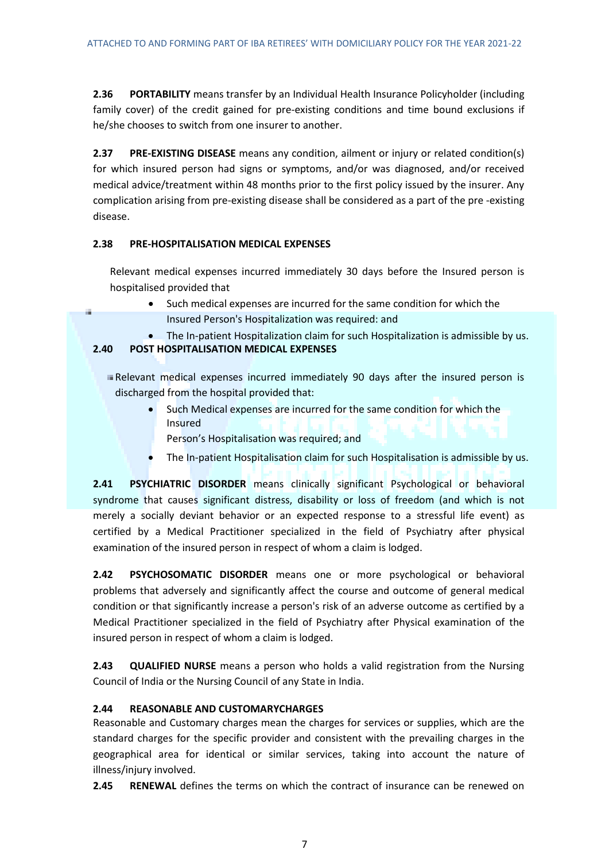**2.36 PORTABILITY** means transfer by an Individual Health Insurance Policyholder (including family cover) of the credit gained for pre-existing conditions and time bound exclusions if he/she chooses to switch from one insurer to another.

**2.37 PRE-EXISTING DISEASE** means any condition, ailment or injury or related condition(s) for which insured person had signs or symptoms, and/or was diagnosed, and/or received medical advice/treatment within 48 months prior to the first policy issued by the insurer. Any complication arising from pre-existing disease shall be considered as a part of the pre -existing disease.

# **2.38 PRE-HOSPITALISATION MEDICAL EXPENSES**

Relevant medical expenses incurred immediately 30 days before the Insured person is hospitalised provided that

- Such medical expenses are incurred for the same condition for which the Insured Person's Hospitalization was required: and
- The In-patient Hospitalization claim for such Hospitalization is admissible by us.

# **2.40 POST HOSPITALISATION MEDICAL EXPENSES**

- Relevant medical expenses incurred immediately 90 days after the insured person is discharged from the hospital provided that:
	- Such Medical expenses are incurred for the same condition for which the Insured
		- Person's Hospitalisation was required; and
	- The In-patient Hospitalisation claim for such Hospitalisation is admissible by us.

**2.41 PSYCHIATRIC DISORDER** means clinically significant Psychological or behavioral syndrome that causes significant distress, disability or loss of freedom (and which is not merely a socially deviant behavior or an expected response to a stressful life event) as certified by a Medical Practitioner specialized in the field of Psychiatry after physical examination of the insured person in respect of whom a claim is lodged.

**2.42 PSYCHOSOMATIC DISORDER** means one or more psychological or behavioral problems that adversely and significantly affect the course and outcome of general medical condition or that significantly increase a person's risk of an adverse outcome as certified by a Medical Practitioner specialized in the field of Psychiatry after Physical examination of the insured person in respect of whom a claim is lodged.

**2.43 QUALIFIED NURSE** means a person who holds a valid registration from the Nursing Council of India or the Nursing Council of any State in India.

# **2.44 REASONABLE AND CUSTOMARYCHARGES**

Reasonable and Customary charges mean the charges for services or supplies, which are the standard charges for the specific provider and consistent with the prevailing charges in the geographical area for identical or similar services, taking into account the nature of illness/injury involved.

**2.45 RENEWAL** defines the terms on which the contract of insurance can be renewed on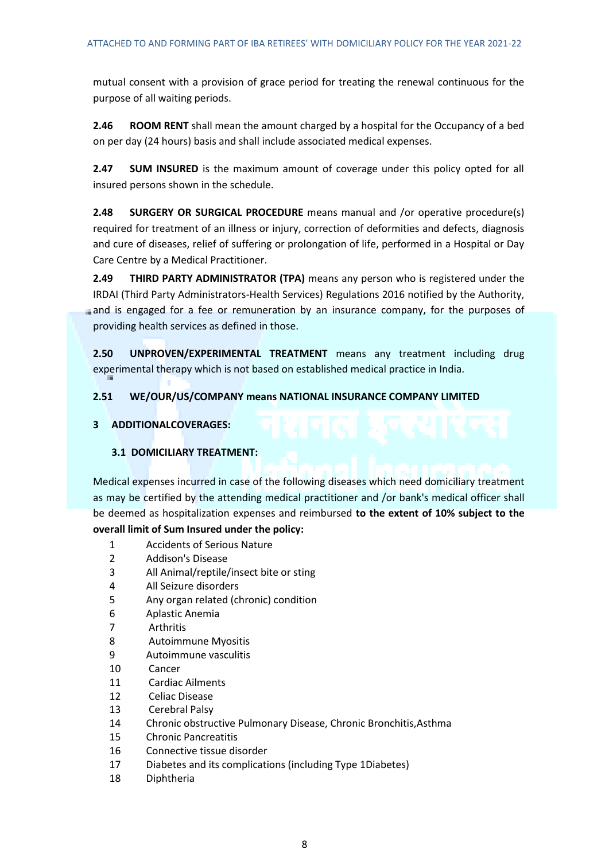mutual consent with a provision of grace period for treating the renewal continuous for the purpose of all waiting periods.

**2.46 ROOM RENT** shall mean the amount charged by a hospital for the Occupancy of a bed on per day (24 hours) basis and shall include associated medical expenses.

**2.47 SUM INSURED** is the maximum amount of coverage under this policy opted for all insured persons shown in the schedule.

**2.48 SURGERY OR SURGICAL PROCEDURE** means manual and /or operative procedure(s) required for treatment of an illness or injury, correction of deformities and defects, diagnosis and cure of diseases, relief of suffering or prolongation of life, performed in a Hospital or Day Care Centre by a Medical Practitioner.

**2.49 THIRD PARTY ADMINISTRATOR (TPA)** means any person who is registered under the IRDAI (Third Party Administrators-Health Services) Regulations 2016 notified by the Authority, and is engaged for a fee or remuneration by an insurance company, for the purposes of providing health services as defined in those.

**2.50 UNPROVEN/EXPERIMENTAL TREATMENT** means any treatment including drug experimental therapy which is not based on established medical practice in India.

## **2.51 WE/OUR/US/COMPANY means NATIONAL INSURANCE COMPANY LIMITED**

## **3 ADDITIONALCOVERAGES:**

# **3.1 DOMICILIARY TREATMENT:**

Medical expenses incurred in case of the following diseases which need domiciliary treatment as may be certified by the attending medical practitioner and /or bank's medical officer shall be deemed as hospitalization expenses and reimbursed **to the extent of 10% subject to the overall limit of Sum Insured under the policy:**

- 1 Accidents of Serious Nature
- 2 Addison's Disease
- 3 All Animal/reptile/insect bite or sting
- 4 All Seizure disorders
- 5 Any organ related (chronic) condition
- 6 Aplastic Anemia
- 7 Arthritis
- 8 Autoimmune Myositis
- 9 Autoimmune vasculitis
- 10 Cancer
- 11 Cardiac Ailments
- 12 Celiac Disease
- 13 Cerebral Palsy
- 14 Chronic obstructive Pulmonary Disease, Chronic Bronchitis,Asthma
- 15 Chronic Pancreatitis
- 16 Connective tissue disorder
- 17 Diabetes and its complications (including Type 1Diabetes)
- 18 Diphtheria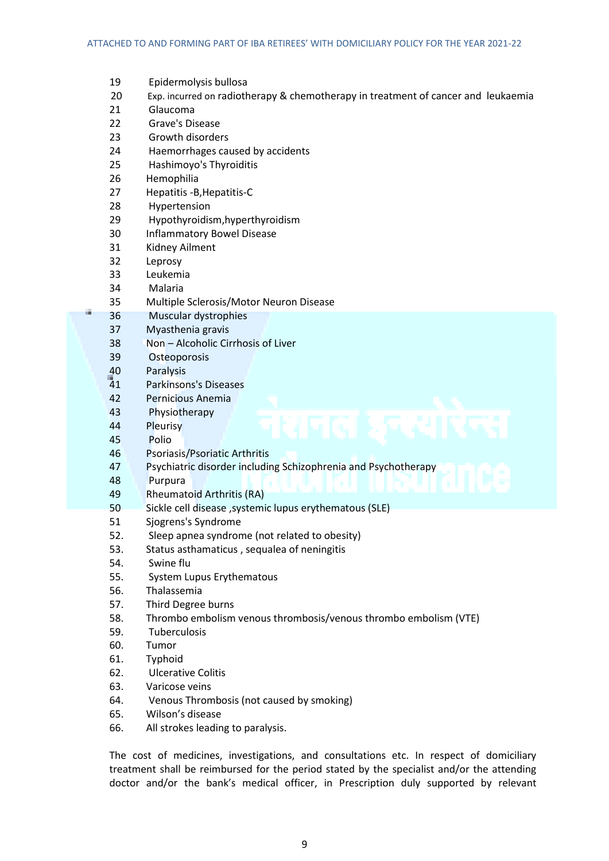|   | 19                    | Epidermolysis bullosa                                                             |
|---|-----------------------|-----------------------------------------------------------------------------------|
|   | 20                    | Exp. incurred on radiotherapy & chemotherapy in treatment of cancer and leukaemia |
|   | 21                    | Glaucoma                                                                          |
|   | 22                    | Grave's Disease                                                                   |
|   | 23                    | Growth disorders                                                                  |
|   | 24                    | Haemorrhages caused by accidents                                                  |
|   | 25                    | Hashimoyo's Thyroiditis                                                           |
|   | 26                    | Hemophilia                                                                        |
|   | 27                    | Hepatitis - B, Hepatitis-C                                                        |
|   | 28                    | Hypertension                                                                      |
|   | 29                    | Hypothyroidism, hyperthyroidism                                                   |
|   | 30                    | <b>Inflammatory Bowel Disease</b>                                                 |
|   | 31                    | Kidney Ailment                                                                    |
|   | 32                    | Leprosy                                                                           |
|   | 33                    | Leukemia                                                                          |
|   | 34                    | Malaria                                                                           |
| œ | 35                    | Multiple Sclerosis/Motor Neuron Disease                                           |
|   | 36                    | Muscular dystrophies                                                              |
|   | 37                    | Myasthenia gravis<br>Non - Alcoholic Cirrhosis of Liver                           |
|   | 38                    |                                                                                   |
|   | 39                    | Osteoporosis                                                                      |
|   | 40<br>$\overline{41}$ | Paralysis<br><b>Parkinsons's Diseases</b>                                         |
|   | 42                    | Pernicious Anemia                                                                 |
|   | 43                    | Physiotherapy                                                                     |
|   | 44                    | Pleurisy                                                                          |
|   | 45                    | Polio                                                                             |
|   | 46                    | Psoriasis/Psoriatic Arthritis                                                     |
|   | 47                    | Psychiatric disorder including Schizophrenia and Psychotherapy                    |
|   | 48                    | Purpura                                                                           |
|   | 49                    | <b>Rheumatoid Arthritis (RA)</b>                                                  |
|   | 50                    | Sickle cell disease , systemic lupus erythematous (SLE)                           |
|   | 51                    | Sjogrens's Syndrome                                                               |
|   | 52.                   | Sleep apnea syndrome (not related to obesity)                                     |
|   | 53.                   | Status asthamaticus, sequalea of neningitis                                       |
|   | 54.                   | Swine flu                                                                         |
|   | 55.                   | System Lupus Erythematous                                                         |
|   | 56.                   | Thalassemia                                                                       |
|   | 57.                   | Third Degree burns                                                                |
|   | 58.                   | Thrombo embolism venous thrombosis/venous thrombo embolism (VTE)                  |
|   | 59.                   | Tuberculosis                                                                      |
|   | 60.                   | Tumor                                                                             |
|   | 61.                   | Typhoid                                                                           |
|   | 62.                   | <b>Ulcerative Colitis</b>                                                         |
|   | 63.                   | Varicose veins                                                                    |
|   | 64.                   | Venous Thrombosis (not caused by smoking)                                         |
|   | 65.                   | Wilson's disease                                                                  |
|   | 66.                   | All strokes leading to paralysis.                                                 |
|   |                       |                                                                                   |

The cost of medicines, investigations, and consultations etc. In respect of domiciliary treatment shall be reimbursed for the period stated by the specialist and/or the attending doctor and/or the bank's medical officer, in Prescription duly supported by relevant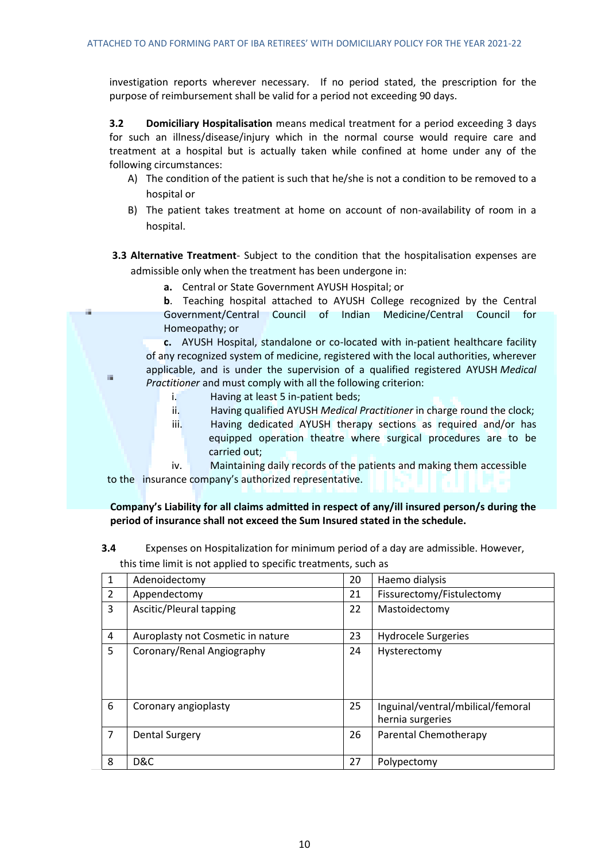investigation reports wherever necessary. If no period stated, the prescription for the purpose of reimbursement shall be valid for a period not exceeding 90 days.

**3.2 Domiciliary Hospitalisation** means medical treatment for a period exceeding 3 days for such an illness/disease/injury which in the normal course would require care and treatment at a hospital but is actually taken while confined at home under any of the following circumstances:

- A) The condition of the patient is such that he/she is not a condition to be removed to a hospital or
- B) The patient takes treatment at home on account of non-availability of room in a hospital.

**3.3 Alternative Treatment**- Subject to the condition that the hospitalisation expenses are admissible only when the treatment has been undergone in:

**a.** Central or State Government AYUSH Hospital; or

**b**. Teaching hospital attached to AYUSH College recognized by the Central Government/Central Council of Indian Medicine/Central Council for Homeopathy; or

**c.** AYUSH Hospital, standalone or co-located with in-patient healthcare facility of any recognized system of medicine, registered with the local authorities, wherever applicable, and is under the supervision of a qualified registered AYUSH *Medical Practitioner* and must comply with all the following criterion:

i. Having at least 5 in-patient beds;

 $\mathbb{R}^d$ 

- ii. Having qualified AYUSH *Medical Practitioner* in charge round the clock;
- iii. Having dedicated AYUSH therapy sections as required and/or has equipped operation theatre where surgical procedures are to be carried out;

 iv. Maintaining daily records of the patients and making them accessible to the insurance company's authorized representative.

**Company's Liability for all claims admitted in respect of any/ill insured person/s during the period of insurance shall not exceed the Sum Insured stated in the schedule.**

**3.4** Expenses on Hospitalization for minimum period of a day are admissible. However, this time limit is not applied to specific treatments, such as

| 1              | Adenoidectomy                     | 20 | Haemo dialysis                                        |
|----------------|-----------------------------------|----|-------------------------------------------------------|
| $\overline{2}$ | Appendectomy                      | 21 | Fissurectomy/Fistulectomy                             |
| 3              | Ascitic/Pleural tapping           | 22 | Mastoidectomy                                         |
| 4              | Auroplasty not Cosmetic in nature | 23 | <b>Hydrocele Surgeries</b>                            |
| 5              | Coronary/Renal Angiography        | 24 | Hysterectomy                                          |
| 6              | Coronary angioplasty              | 25 | Inguinal/ventral/mbilical/femoral<br>hernia surgeries |
| $\overline{7}$ | <b>Dental Surgery</b>             | 26 | Parental Chemotherapy                                 |
| 8              | D&C                               | 27 | Polypectomy                                           |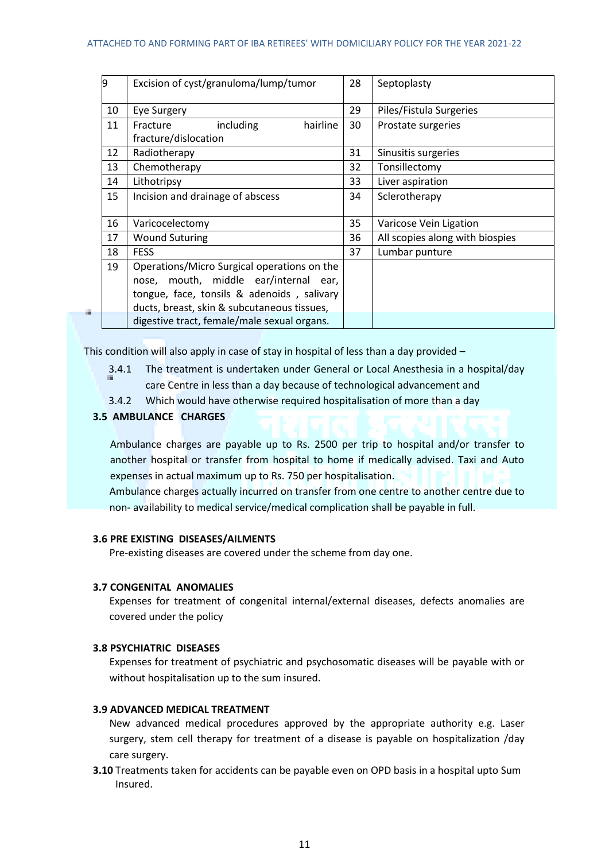#### ATTACHED TO AND FORMING PART OF IBA RETIREES' WITH DOMICILIARY POLICY FOR THE YEAR 2021-22

| 9  | Excision of cyst/granuloma/lump/tumor                                                                                                 | 28 | Septoplasty                     |
|----|---------------------------------------------------------------------------------------------------------------------------------------|----|---------------------------------|
| 10 | Eye Surgery                                                                                                                           | 29 | Piles/Fistula Surgeries         |
| 11 | hairline<br>Fracture<br>including<br>fracture/dislocation                                                                             | 30 | Prostate surgeries              |
| 12 | Radiotherapy                                                                                                                          | 31 | Sinusitis surgeries             |
| 13 | Chemotherapy                                                                                                                          | 32 | Tonsillectomy                   |
| 14 | Lithotripsy                                                                                                                           | 33 | Liver aspiration                |
| 15 | Incision and drainage of abscess                                                                                                      | 34 | Sclerotherapy                   |
| 16 | Varicocelectomy                                                                                                                       | 35 | Varicose Vein Ligation          |
| 17 | <b>Wound Suturing</b>                                                                                                                 | 36 | All scopies along with biospies |
| 18 | <b>FESS</b>                                                                                                                           | 37 | Lumbar punture                  |
| 19 | Operations/Micro Surgical operations on the<br>mouth, middle ear/internal ear,<br>nose.<br>tongue, face, tonsils & adenoids, salivary |    |                                 |
|    | ducts, breast, skin & subcutaneous tissues,                                                                                           |    |                                 |
|    | digestive tract, female/male sexual organs.                                                                                           |    |                                 |

This condition will also apply in case of stay in hospital of less than a day provided –

- 3.4.1 The treatment is undertaken under General or Local Anesthesia in a hospital/day care Centre in less than a day because of technological advancement and
- 3.4.2 Which would have otherwise required hospitalisation of more than a day

### **3.5 AMBULANCE CHARGES**

Ambulance charges are payable up to Rs. 2500 per trip to hospital and/or transfer to another hospital or transfer from hospital to home if medically advised. Taxi and Auto expenses in actual maximum up to Rs. 750 per hospitalisation.

Ambulance charges actually incurred on transfer from one centre to another centre due to non- availability to medical service/medical complication shall be payable in full.

### **3.6 PRE EXISTING DISEASES/AILMENTS**

Pre-existing diseases are covered under the scheme from day one.

### **3.7 CONGENITAL ANOMALIES**

Expenses for treatment of congenital internal/external diseases, defects anomalies are covered under the policy

### **3.8 PSYCHIATRIC DISEASES**

Expenses for treatment of psychiatric and psychosomatic diseases will be payable with or without hospitalisation up to the sum insured.

## **3.9 ADVANCED MEDICAL TREATMENT**

New advanced medical procedures approved by the appropriate authority e.g. Laser surgery, stem cell therapy for treatment of a disease is payable on hospitalization /day care surgery.

**3.10** Treatments taken for accidents can be payable even on OPD basis in a hospital upto Sum Insured.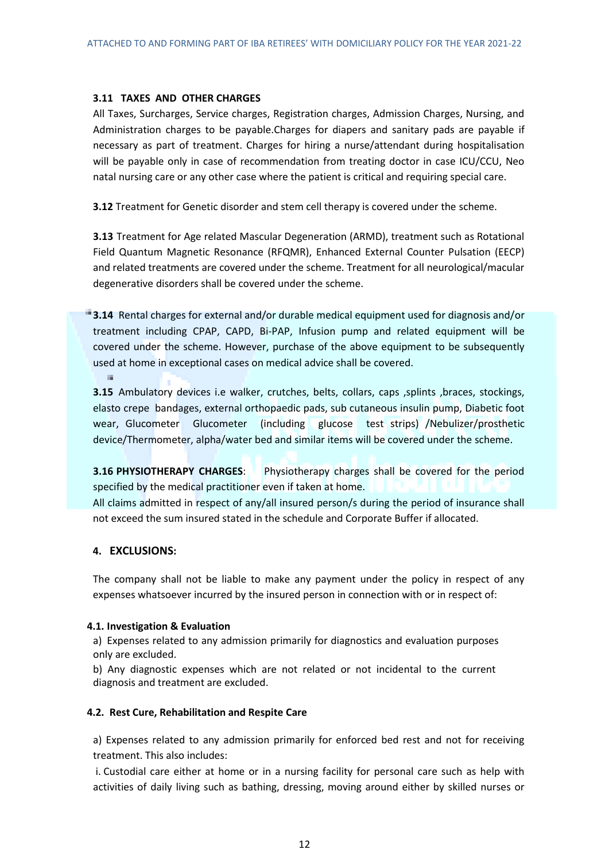### **3.11 TAXES AND OTHER CHARGES**

All Taxes, Surcharges, Service charges, Registration charges, Admission Charges, Nursing, and Administration charges to be payable.Charges for diapers and sanitary pads are payable if necessary as part of treatment. Charges for hiring a nurse/attendant during hospitalisation will be payable only in case of recommendation from treating doctor in case ICU/CCU, Neo natal nursing care or any other case where the patient is critical and requiring special care.

**3.12** Treatment for Genetic disorder and stem cell therapy is covered under the scheme.

**3.13** Treatment for Age related Mascular Degeneration (ARMD), treatment such as Rotational Field Quantum Magnetic Resonance (RFQMR), Enhanced External Counter Pulsation (EECP) and related treatments are covered under the scheme. Treatment for all neurological/macular degenerative disorders shall be covered under the scheme.

**3.14** Rental charges for external and/or durable medical equipment used for diagnosis and/or treatment including CPAP, CAPD, Bi-PAP, Infusion pump and related equipment will be covered under the scheme. However, purchase of the above equipment to be subsequently used at home in exceptional cases on medical advice shall be covered.  $\overline{\phantom{a}}$ 

**3.15** Ambulatory devices i.e walker, crutches, belts, collars, caps ,splints ,braces, stockings, elasto crepe bandages, external orthopaedic pads, sub cutaneous insulin pump, Diabetic foot wear, Glucometer Glucometer (including glucose test strips) /Nebulizer/prosthetic device/Thermometer, alpha/water bed and similar items will be covered under the scheme.

**3.16 PHYSIOTHERAPY CHARGES**: Physiotherapy charges shall be covered for the period specified by the medical practitioner even if taken at home. All claims admitted in respect of any/all insured person/s during the period of insurance shall not exceed the sum insured stated in the schedule and Corporate Buffer if allocated.

## **4. EXCLUSIONS:**

The company shall not be liable to make any payment under the policy in respect of any expenses whatsoever incurred by the insured person in connection with or in respect of:

## **4.1. Investigation & Evaluation**

a) Expenses related to any admission primarily for diagnostics and evaluation purposes only are excluded.

b) Any diagnostic expenses which are not related or not incidental to the current diagnosis and treatment are excluded.

## **4.2. Rest Cure, Rehabilitation and Respite Care**

a) Expenses related to any admission primarily for enforced bed rest and not for receiving treatment. This also includes:

i. Custodial care either at home or in a nursing facility for personal care such as help with activities of daily living such as bathing, dressing, moving around either by skilled nurses or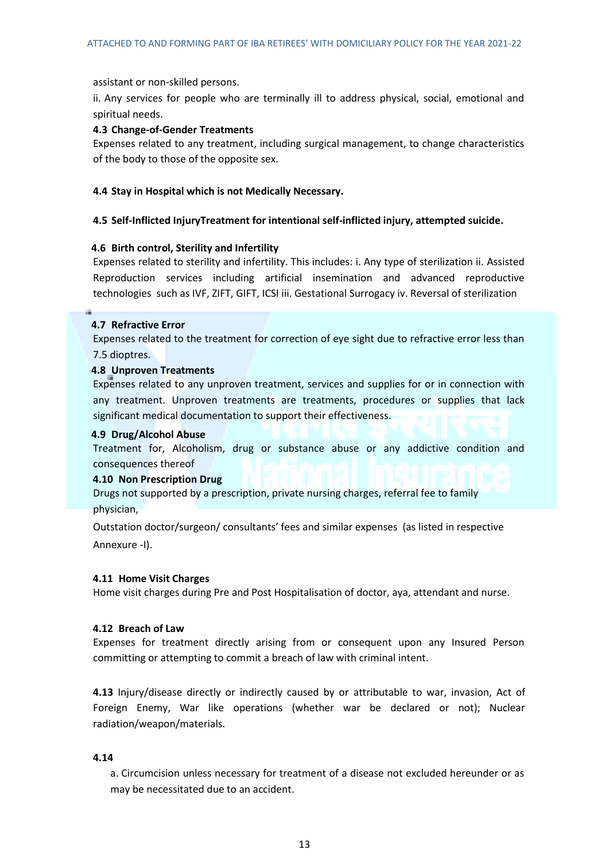assistant or non-skilled persons.

ii. Any services for people who are terminally ill to address physical, social, emotional and spiritual needs.

### **4.3 Change-of-Gender Treatments**

Expenses related to any treatment, including surgical management, to change characteristics of the body to those of the opposite sex.

### **4.4 Stay in Hospital which is not Medically Necessary.**

### **4.5 Self-Inflicted InjuryTreatment for intentional self-inflicted injury, attempted suicide.**

### **4.6 Birth control, Sterility and Infertility**

Expenses related to sterility and infertility. This includes: i. Any type of sterilization ii. Assisted Reproduction services including artificial insemination and advanced reproductive technologies such as IVF, ZIFT, GIFT, ICSI iii. Gestational Surrogacy iv. Reversal of sterilization

### **4.7 Refractive Error**

Expenses related to the treatment for correction of eye sight due to refractive error less than 7.5 dioptres.

### **4.8 Unproven Treatments**

Expenses related to any unproven treatment, services and supplies for or in connection with any treatment. Unproven treatments are treatments, procedures or supplies that lack significant medical documentation to support their effectiveness.

### **4.9 Drug/Alcohol Abuse**

Treatment for, Alcoholism, drug or substance abuse or any addictive condition and consequences thereof

## **4.10 Non Prescription Drug**

Drugs not supported by a prescription, private nursing charges, referral fee to family physician,

Outstation doctor/surgeon/ consultants' fees and similar expenses (as listed in respective Annexure -I).

### **4.11 Home Visit Charges**

Home visit charges during Pre and Post Hospitalisation of doctor, aya, attendant and nurse.

### **4.12 Breach of Law**

Expenses for treatment directly arising from or consequent upon any Insured Person committing or attempting to commit a breach of law with criminal intent.

**4.13** Injury/disease directly or indirectly caused by or attributable to war, invasion, Act of Foreign Enemy, War like operations (whether war be declared or not); Nuclear radiation/weapon/materials.

### **4.14**

a. Circumcision unless necessary for treatment of a disease not excluded hereunder or as may be necessitated due to an accident.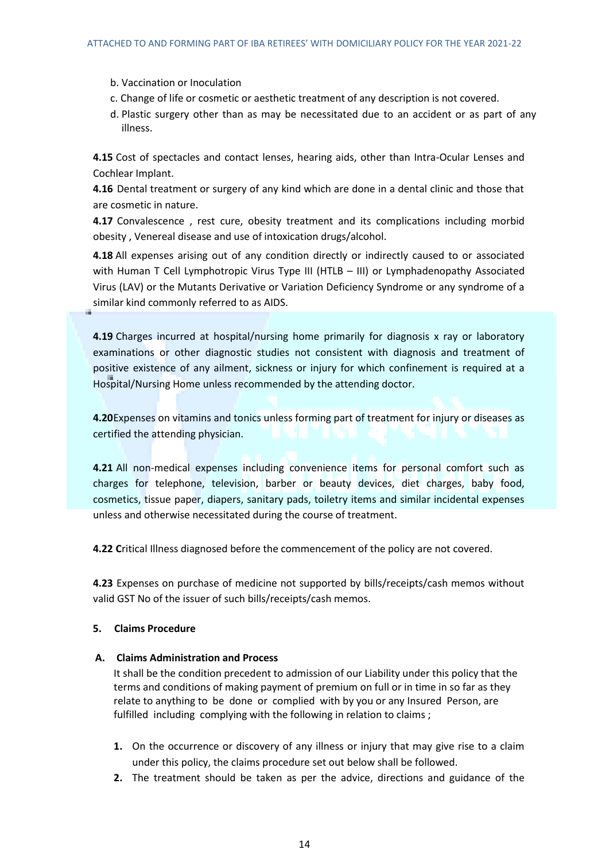- b. Vaccination or Inoculation
- c. Change of life or cosmetic or aesthetic treatment of any description is not covered.
- d. Plastic surgery other than as may be necessitated due to an accident or as part of any illness.

**4.15** Cost of spectacles and contact lenses, hearing aids, other than Intra-Ocular Lenses and Cochlear Implant.

**4.16** Dental treatment or surgery of any kind which are done in a dental clinic and those that are cosmetic in nature.

**4.17** Convalescence , rest cure, obesity treatment and its complications including morbid obesity , Venereal disease and use of intoxication drugs/alcohol.

**4.18** All expenses arising out of any condition directly or indirectly caused to or associated with Human T Cell Lymphotropic Virus Type III (HTLB – III) or Lymphadenopathy Associated Virus (LAV) or the Mutants Derivative or Variation Deficiency Syndrome or any syndrome of a similar kind commonly referred to as AIDS.

**4.19** Charges incurred at hospital/nursing home primarily for diagnosis x ray or laboratory examinations or other diagnostic studies not consistent with diagnosis and treatment of positive existence of any ailment, sickness or injury for which confinement is required at a Hospital/Nursing Home unless recommended by the attending doctor.

**4.20**Expenses on vitamins and tonics unless forming part of treatment for injury or diseases as certified the attending physician.

**4.21** All non-medical expenses including convenience items for personal comfort such as charges for telephone, television, barber or beauty devices, diet charges, baby food, cosmetics, tissue paper, diapers, sanitary pads, toiletry items and similar incidental expenses unless and otherwise necessitated during the course of treatment.

**4.22 C**ritical Illness diagnosed before the commencement of the policy are not covered.

**4.23** Expenses on purchase of medicine not supported by bills/receipts/cash memos without valid GST No of the issuer of such bills/receipts/cash memos.

## **5. Claims Procedure**

## **A. Claims Administration and Process**

It shall be the condition precedent to admission of our Liability under this policy that the terms and conditions of making payment of premium on full or in time in so far as they relate to anything to be done or complied with by you or any Insured Person, are fulfilled including complying with the following in relation to claims;

- **1.** On the occurrence or discovery of any illness or injury that may give rise to a claim under this policy, the claims procedure set out below shall be followed.
- **2.** The treatment should be taken as per the advice, directions and guidance of the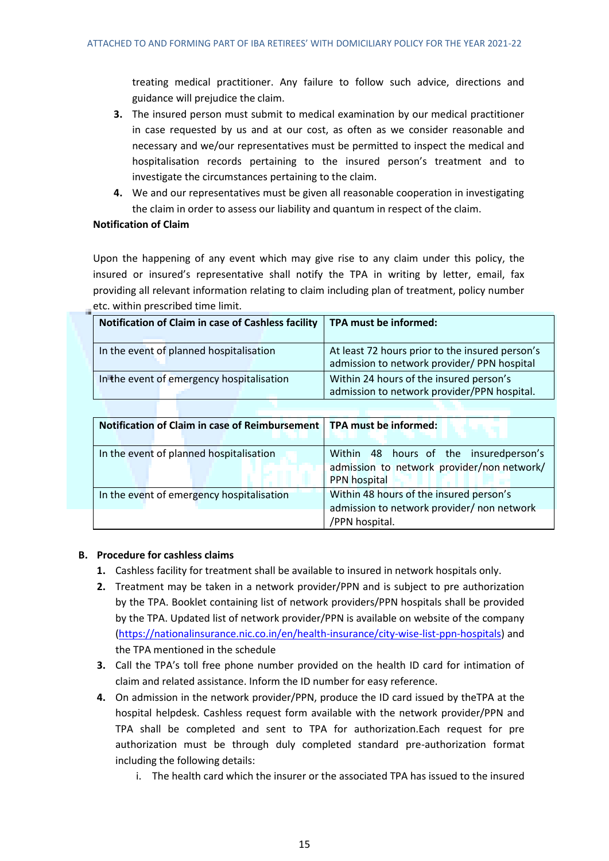treating medical practitioner. Any failure to follow such advice, directions and guidance will prejudice the claim.

- **3.** The insured person must submit to medical examination by our medical practitioner in case requested by us and at our cost, as often as we consider reasonable and necessary and we/our representatives must be permitted to inspect the medical and hospitalisation records pertaining to the insured person's treatment and to investigate the circumstances pertaining to the claim.
- **4.** We and our representatives must be given all reasonable cooperation in investigating the claim in order to assess our liability and quantum in respect of the claim.

# **Notification of Claim**

Upon the happening of any event which may give rise to any claim under this policy, the insured or insured's representative shall notify the TPA in writing by letter, email, fax providing all relevant information relating to claim including plan of treatment, policy number etc. within prescribed time limit.

| Notification of Claim in case of Cashless facility | TPA must be informed:                                                                          |
|----------------------------------------------------|------------------------------------------------------------------------------------------------|
| In the event of planned hospitalisation            | At least 72 hours prior to the insured person's<br>admission to network provider/ PPN hospital |
| In the event of emergency hospitalisation          | Within 24 hours of the insured person's<br>admission to network provider/PPN hospital.         |

| Notification of Claim in case of Reimbursement   TPA must be informed: |                                                                                                         |
|------------------------------------------------------------------------|---------------------------------------------------------------------------------------------------------|
| In the event of planned hospitalisation                                | Within 48 hours of the insuredperson's<br>admission to network provider/non network/<br>PPN hospital    |
| In the event of emergency hospitalisation                              | Within 48 hours of the insured person's<br>admission to network provider/ non network<br>/PPN hospital. |

# **B. Procedure for cashless claims**

- **1.** Cashless facility for treatment shall be available to insured in network hospitals only.
- **2.** Treatment may be taken in a network provider/PPN and is subject to pre authorization by the TPA. Booklet containing list of network providers/PPN hospitals shall be provided by the TPA. Updated list of network provider/PPN is available on website of the company [\(https://nationalinsurance.nic.co.in/en/health-insurance/city-wise-list-ppn-hospitals\)](https://nationalinsurance.nic.co.in/en/health-insurance/city-wise-list-ppn-hospitals) and the TPA mentioned in the schedule
- **3.** Call the TPA's toll free phone number provided on the health ID card for intimation of claim and related assistance. Inform the ID number for easy reference.
- **4.** On admission in the network provider/PPN, produce the ID card issued by theTPA at the hospital helpdesk. Cashless request form available with the network provider/PPN and TPA shall be completed and sent to TPA for authorization.Each request for pre authorization must be through duly completed standard pre-authorization format including the following details:
	- i. The health card which the insurer or the associated TPA has issued to the insured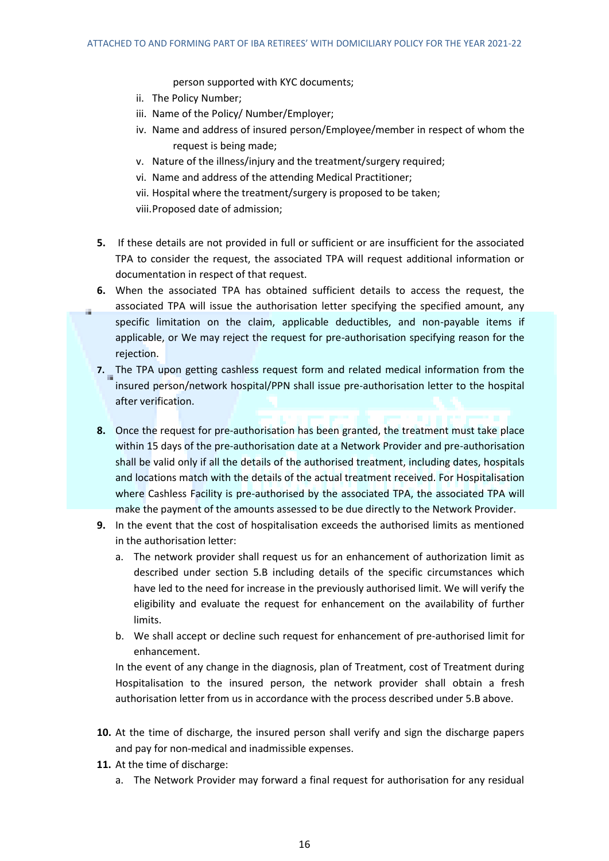person supported with KYC documents;

- ii. The Policy Number;
- iii. Name of the Policy/ Number/Employer;
- iv. Name and address of insured person/Employee/member in respect of whom the request is being made;
- v. Nature of the illness/injury and the treatment/surgery required;
- vi. Name and address of the attending Medical Practitioner;
- vii. Hospital where the treatment/surgery is proposed to be taken;
- viii.Proposed date of admission;
- **5.** If these details are not provided in full or sufficient or are insufficient for the associated TPA to consider the request, the associated TPA will request additional information or documentation in respect of that request.
- **6.** When the associated TPA has obtained sufficient details to access the request, the associated TPA will issue the authorisation letter specifying the specified amount, any specific limitation on the claim, applicable deductibles, and non-payable items if applicable, or We may reject the request for pre-authorisation specifying reason for the rejection.
- **7.** The TPA upon getting cashless request form and related medical information from the insured person/network hospital/PPN shall issue pre-authorisation letter to the hospital after verification.
- **8.** Once the request for pre-authorisation has been granted, the treatment must take place within 15 days of the pre-authorisation date at a Network Provider and pre-authorisation shall be valid only if all the details of the authorised treatment, including dates, hospitals and locations match with the details of the actual treatment received. For Hospitalisation where Cashless Facility is pre-authorised by the associated TPA, the associated TPA will make the payment of the amounts assessed to be due directly to the Network Provider.
- **9.** In the event that the cost of hospitalisation exceeds the authorised limits as mentioned in the authorisation letter:
	- a. The network provider shall request us for an enhancement of authorization limit as described under section 5.B including details of the specific circumstances which have led to the need for increase in the previously authorised limit. We will verify the eligibility and evaluate the request for enhancement on the availability of further limits.
	- b. We shall accept or decline such request for enhancement of pre-authorised limit for enhancement.

In the event of any change in the diagnosis, plan of Treatment, cost of Treatment during Hospitalisation to the insured person, the network provider shall obtain a fresh authorisation letter from us in accordance with the process described under 5.B above.

- **10.** At the time of discharge, the insured person shall verify and sign the discharge papers and pay for non-medical and inadmissible expenses.
- **11.** At the time of discharge:
	- a. The Network Provider may forward a final request for authorisation for any residual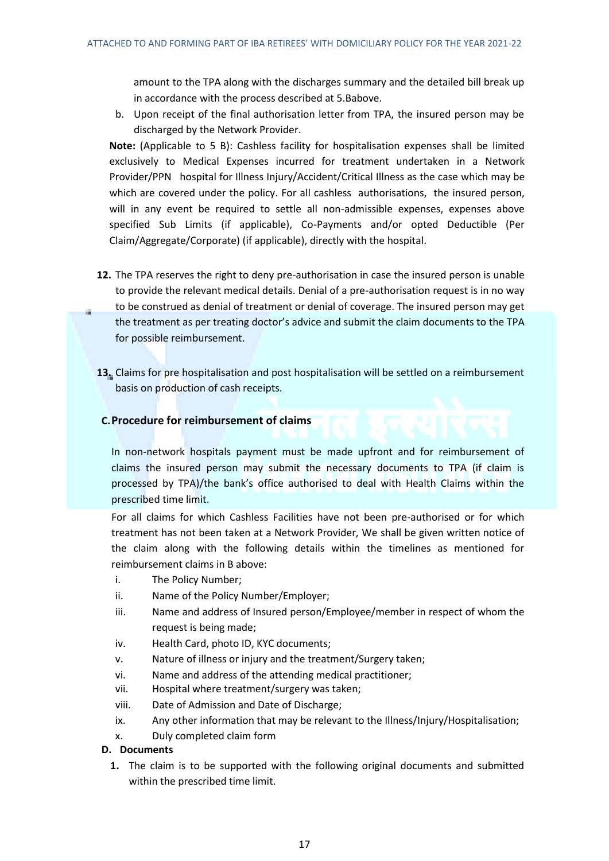amount to the TPA along with the discharges summary and the detailed bill break up in accordance with the process described at 5.Babove.

b. Upon receipt of the final authorisation letter from TPA, the insured person may be discharged by the Network Provider.

**Note:** (Applicable to 5 B): Cashless facility for hospitalisation expenses shall be limited exclusively to Medical Expenses incurred for treatment undertaken in a Network Provider/PPN hospital for Illness Injury/Accident/Critical Illness as the case which may be which are covered under the policy. For all cashless authorisations, the insured person, will in any event be required to settle all non-admissible expenses, expenses above specified Sub Limits (if applicable), Co-Payments and/or opted Deductible (Per Claim/Aggregate/Corporate) (if applicable), directly with the hospital.

- **12.** The TPA reserves the right to deny pre-authorisation in case the insured person is unable to provide the relevant medical details. Denial of a pre-authorisation request is in no way to be construed as denial of treatment or denial of coverage. The insured person may get the treatment as per treating doctor's advice and submit the claim documents to the TPA for possible reimbursement.
- **13.** Claims for pre hospitalisation and post hospitalisation will be settled on a reimbursement basis on production of cash receipts.

# **C.Procedure for reimbursement of claims**

In non-network hospitals payment must be made upfront and for reimbursement of claims the insured person may submit the necessary documents to TPA (if claim is processed by TPA)/the bank's office authorised to deal with Health Claims within the prescribed time limit.

For all claims for which Cashless Facilities have not been pre-authorised or for which treatment has not been taken at a Network Provider, We shall be given written notice of the claim along with the following details within the timelines as mentioned for reimbursement claims in B above:

- i. The Policy Number;
- ii. Name of the Policy Number/Employer;
- iii. Name and address of Insured person/Employee/member in respect of whom the request is being made;
- iv. Health Card, photo ID, KYC documents;
- v. Nature of illness or injury and the treatment/Surgery taken;
- vi. Name and address of the attending medical practitioner;
- vii. Hospital where treatment/surgery was taken;
- viii. Date of Admission and Date of Discharge;
- ix. Any other information that may be relevant to the Illness/Injury/Hospitalisation;
- x. Duly completed claim form

## **D. Documents**

**1.** The claim is to be supported with the following original documents and submitted within the prescribed time limit.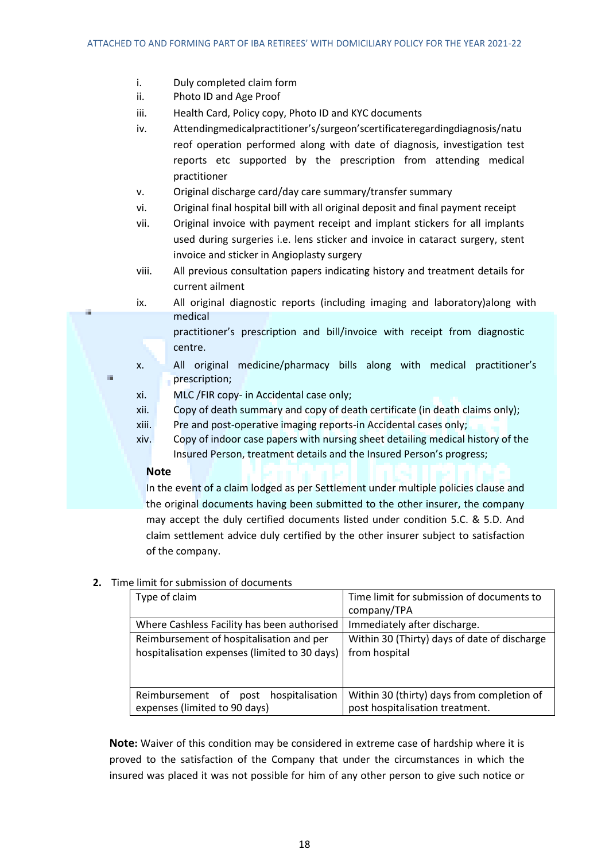- i. Duly completed claim form
- ii. Photo ID and Age Proof
- iii. Health Card, Policy copy, Photo ID and KYC documents
- iv. Attendingmedicalpractitioner's/surgeon'scertificateregardingdiagnosis/natu reof operation performed along with date of diagnosis, investigation test reports etc supported by the prescription from attending medical practitioner
- v. Original discharge card/day care summary/transfer summary
- vi. Original final hospital bill with all original deposit and final payment receipt
- vii. Original invoice with payment receipt and implant stickers for all implants used during surgeries i.e. lens sticker and invoice in cataract surgery, stent invoice and sticker in Angioplasty surgery
- viii. All previous consultation papers indicating history and treatment details for current ailment
- ix. All original diagnostic reports (including imaging and laboratory)along with medical
	- practitioner's prescription and bill/invoice with receipt from diagnostic centre.
- x. All original medicine/pharmacy bills along with medical practitioner's prescription;
- xi. MLC /FIR copy- in Accidental case only;
- xii. Copy of death summary and copy of death certificate (in death claims only);
- xiii. Pre and post-operative imaging reports-in Accidental cases only;
- xiv. Copy of indoor case papers with nursing sheet detailing medical history of the Insured Person, treatment details and the Insured Person's progress;

## **Note**

à.

In the event of a claim lodged as per Settlement under multiple policies clause and the original documents having been submitted to the other insurer, the company may accept the duly certified documents listed under condition 5.C. & 5.D. And claim settlement advice duly certified by the other insurer subject to satisfaction of the company.

## **2.** Time limit for submission of documents

| Type of claim                                                                             | Time limit for submission of documents to<br>company/TPA                      |
|-------------------------------------------------------------------------------------------|-------------------------------------------------------------------------------|
| Where Cashless Facility has been authorised                                               | Immediately after discharge.                                                  |
| Reimbursement of hospitalisation and per<br>hospitalisation expenses (limited to 30 days) | Within 30 (Thirty) days of date of discharge<br>from hospital                 |
| Reimbursement of<br>hospitalisation<br>post<br>expenses (limited to 90 days)              | Within 30 (thirty) days from completion of<br>post hospitalisation treatment. |

**Note:** Waiver of this condition may be considered in extreme case of hardship where it is proved to the satisfaction of the Company that under the circumstances in which the insured was placed it was not possible for him of any other person to give such notice or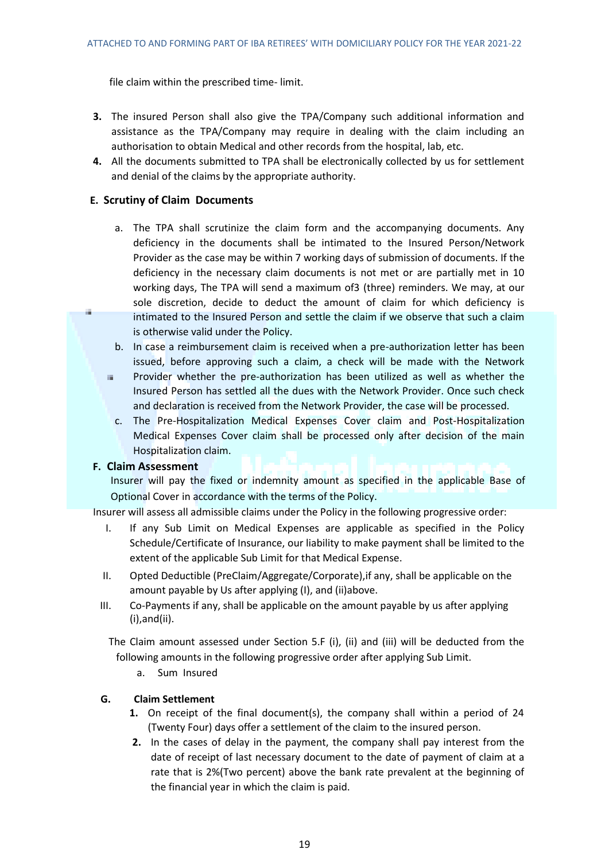file claim within the prescribed time- limit.

- **3.** The insured Person shall also give the TPA/Company such additional information and assistance as the TPA/Company may require in dealing with the claim including an authorisation to obtain Medical and other records from the hospital, lab, etc.
- **4.** All the documents submitted to TPA shall be electronically collected by us for settlement and denial of the claims by the appropriate authority.

## **E. Scrutiny of Claim Documents**

- a. The TPA shall scrutinize the claim form and the accompanying documents. Any deficiency in the documents shall be intimated to the Insured Person/Network Provider as the case may be within 7 working days of submission of documents. If the deficiency in the necessary claim documents is not met or are partially met in 10 working days, The TPA will send a maximum of3 (three) reminders. We may, at our sole discretion, decide to deduct the amount of claim for which deficiency is intimated to the Insured Person and settle the claim if we observe that such a claim is otherwise valid under the Policy.
- b. In case a reimbursement claim is received when a pre-authorization letter has been issued, before approving such a claim, a check will be made with the Network
- Provider whether the pre-authorization has been utilized as well as whether the a. Insured Person has settled all the dues with the Network Provider. Once such check and declaration is received from the Network Provider, the case will be processed.
	- c. The Pre-Hospitalization Medical Expenses Cover claim and Post-Hospitalization Medical Expenses Cover claim shall be processed only after decision of the main Hospitalization claim.

## **F. Claim Assessment**

J.

Insurer will pay the fixed or indemnity amount as specified in the applicable Base of Optional Cover in accordance with the terms of the Policy.

Insurer will assess all admissible claims under the Policy in the following progressive order:

- I. If any Sub Limit on Medical Expenses are applicable as specified in the Policy Schedule/Certificate of Insurance, our liability to make payment shall be limited to the extent of the applicable Sub Limit for that Medical Expense.
- II. Opted Deductible (PreClaim/Aggregate/Corporate),if any, shall be applicable on the amount payable by Us after applying (I), and (ii)above.
- III. Co-Payments if any, shall be applicable on the amount payable by us after applying (i),and(ii).

The Claim amount assessed under Section 5.F (i), (ii) and (iii) will be deducted from the following amounts in the following progressive order after applying Sub Limit.

a. Sum Insured

## **G. Claim Settlement**

- **1.** On receipt of the final document(s), the company shall within a period of 24 (Twenty Four) days offer a settlement of the claim to the insured person.
- **2.** In the cases of delay in the payment, the company shall pay interest from the date of receipt of last necessary document to the date of payment of claim at a rate that is 2%(Two percent) above the bank rate prevalent at the beginning of the financial year in which the claim is paid.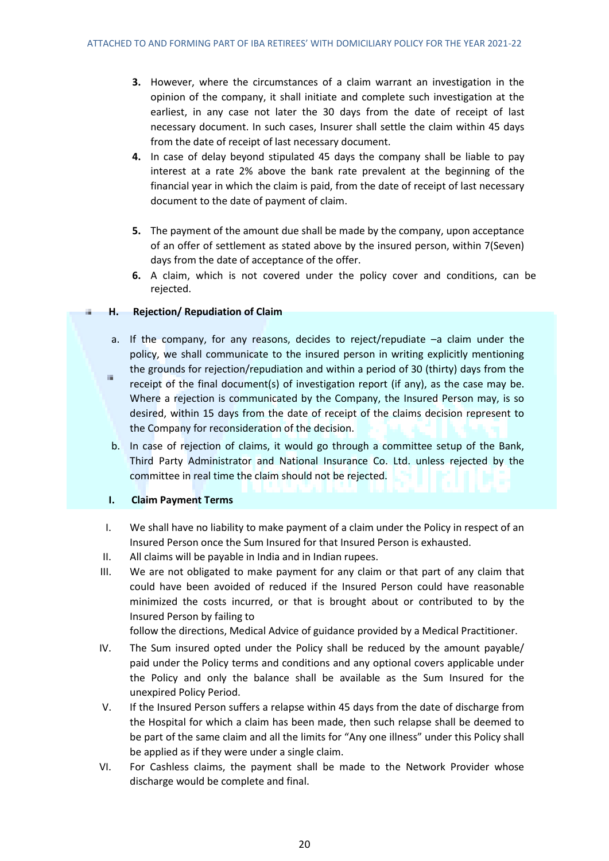- **3.** However, where the circumstances of a claim warrant an investigation in the opinion of the company, it shall initiate and complete such investigation at the earliest, in any case not later the 30 days from the date of receipt of last necessary document. In such cases, Insurer shall settle the claim within 45 days from the date of receipt of last necessary document.
- **4.** In case of delay beyond stipulated 45 days the company shall be liable to pay interest at a rate 2% above the bank rate prevalent at the beginning of the financial year in which the claim is paid, from the date of receipt of last necessary document to the date of payment of claim.
- **5.** The payment of the amount due shall be made by the company, upon acceptance of an offer of settlement as stated above by the insured person, within 7(Seven) days from the date of acceptance of the offer.
- **6.** A claim, which is not covered under the policy cover and conditions, can be rejected.

## **H. Rejection/ Repudiation of Claim**

- a. If the company, for any reasons, decides to reject/repudiate –a claim under the policy, we shall communicate to the insured person in writing explicitly mentioning the grounds for rejection/repudiation and within a period of 30 (thirty) days from the
- $\mathbb{R}^d$ receipt of the final document(s) of investigation report (if any), as the case may be. Where a rejection is communicated by the Company, the Insured Person may, is so desired, within 15 days from the date of receipt of the claims decision represent to the Company for reconsideration of the decision.
- b. In case of rejection of claims, it would go through a committee setup of the Bank, Third Party Administrator and National Insurance Co. Ltd. unless rejected by the committee in real time the claim should not be rejected.

## **I. Claim Payment Terms**

- I. We shall have no liability to make payment of a claim under the Policy in respect of an Insured Person once the Sum Insured for that Insured Person is exhausted.
- II. All claims will be payable in India and in Indian rupees.
- III. We are not obligated to make payment for any claim or that part of any claim that could have been avoided of reduced if the Insured Person could have reasonable minimized the costs incurred, or that is brought about or contributed to by the Insured Person by failing to

follow the directions, Medical Advice of guidance provided by a Medical Practitioner.

- IV. The Sum insured opted under the Policy shall be reduced by the amount payable/ paid under the Policy terms and conditions and any optional covers applicable under the Policy and only the balance shall be available as the Sum Insured for the unexpired Policy Period.
- V. If the Insured Person suffers a relapse within 45 days from the date of discharge from the Hospital for which a claim has been made, then such relapse shall be deemed to be part of the same claim and all the limits for "Any one illness" under this Policy shall be applied as if they were under a single claim.
- VI. For Cashless claims, the payment shall be made to the Network Provider whose discharge would be complete and final.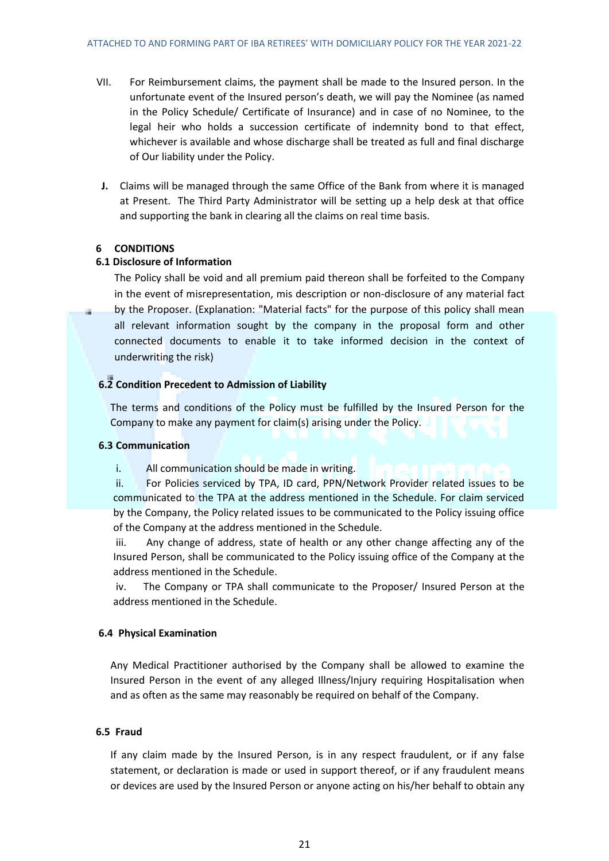- VII. For Reimbursement claims, the payment shall be made to the Insured person. In the unfortunate event of the Insured person's death, we will pay the Nominee (as named in the Policy Schedule/ Certificate of Insurance) and in case of no Nominee, to the legal heir who holds a succession certificate of indemnity bond to that effect, whichever is available and whose discharge shall be treated as full and final discharge of Our liability under the Policy.
- **J.** Claims will be managed through the same Office of the Bank from where it is managed at Present. The Third Party Administrator will be setting up a help desk at that office and supporting the bank in clearing all the claims on real time basis.

## **6 CONDITIONS**

## **6.1 Disclosure of Information**

The Policy shall be void and all premium paid thereon shall be forfeited to the Company in the event of misrepresentation, mis description or non-disclosure of any material fact by the Proposer. (Explanation: "Material facts" for the purpose of this policy shall mean all relevant information sought by the company in the proposal form and other connected documents to enable it to take informed decision in the context of underwriting the risk)

## **6.2 Condition Precedent to Admission of Liability**

The terms and conditions of the Policy must be fulfilled by the Insured Person for the Company to make any payment for claim(s) arising under the Policy.

## **6.3 Communication**

i. All communication should be made in writing.

ii. For Policies serviced by TPA, ID card, PPN/Network Provider related issues to be communicated to the TPA at the address mentioned in the Schedule. For claim serviced by the Company, the Policy related issues to be communicated to the Policy issuing office of the Company at the address mentioned in the Schedule.

iii. Any change of address, state of health or any other change affecting any of the Insured Person, shall be communicated to the Policy issuing office of the Company at the address mentioned in the Schedule.

iv. The Company or TPA shall communicate to the Proposer/ Insured Person at the address mentioned in the Schedule.

## **6.4 Physical Examination**

Any Medical Practitioner authorised by the Company shall be allowed to examine the Insured Person in the event of any alleged Illness/Injury requiring Hospitalisation when and as often as the same may reasonably be required on behalf of the Company.

## **6.5 Fraud**

If any claim made by the Insured Person, is in any respect fraudulent, or if any false statement, or declaration is made or used in support thereof, or if any fraudulent means or devices are used by the Insured Person or anyone acting on his/her behalf to obtain any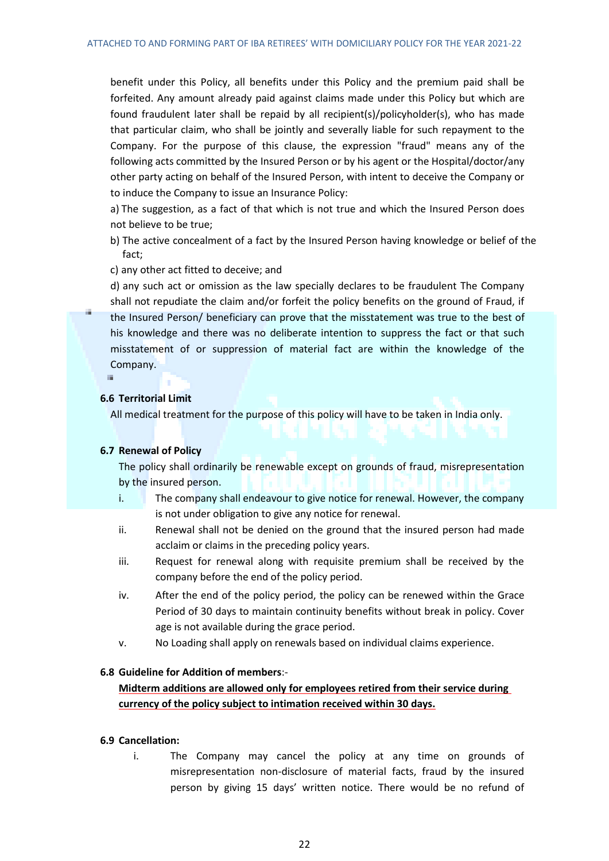benefit under this Policy, all benefits under this Policy and the premium paid shall be forfeited. Any amount already paid against claims made under this Policy but which are found fraudulent later shall be repaid by all recipient(s)/policyholder(s), who has made that particular claim, who shall be jointly and severally liable for such repayment to the Company. For the purpose of this clause, the expression "fraud" means any of the following acts committed by the Insured Person or by his agent or the Hospital/doctor/any other party acting on behalf of the Insured Person, with intent to deceive the Company or to induce the Company to issue an Insurance Policy:

a) The suggestion, as a fact of that which is not true and which the Insured Person does not believe to be true;

b) The active concealment of a fact by the Insured Person having knowledge or belief of the fact;

c) any other act fitted to deceive; and

d) any such act or omission as the law specially declares to be fraudulent The Company shall not repudiate the claim and/or forfeit the policy benefits on the ground of Fraud, if the Insured Person/ beneficiary can prove that the misstatement was true to the best of his knowledge and there was no deliberate intention to suppress the fact or that such misstatement of or suppression of material fact are within the knowledge of the Company.

## **6.6 Territorial Limit**

All medical treatment for the purpose of this policy will have to be taken in India only.

### **6.7 Renewal of Policy**

The policy shall ordinarily be renewable except on grounds of fraud, misrepresentation by the insured person.

- i. The company shall endeavour to give notice for renewal. However, the company is not under obligation to give any notice for renewal.
- ii. Renewal shall not be denied on the ground that the insured person had made acclaim or claims in the preceding policy years.
- iii. Request for renewal along with requisite premium shall be received by the company before the end of the policy period.
- iv. After the end of the policy period, the policy can be renewed within the Grace Period of 30 days to maintain continuity benefits without break in policy. Cover age is not available during the grace period.
- v. No Loading shall apply on renewals based on individual claims experience.

### **6.8 Guideline for Addition of members**:-

**Midterm additions are allowed only for employees retired from their service during currency of the policy subject to intimation received within 30 days.**

### **6.9 Cancellation:**

i. The Company may cancel the policy at any time on grounds of misrepresentation non-disclosure of material facts, fraud by the insured person by giving 15 days' written notice. There would be no refund of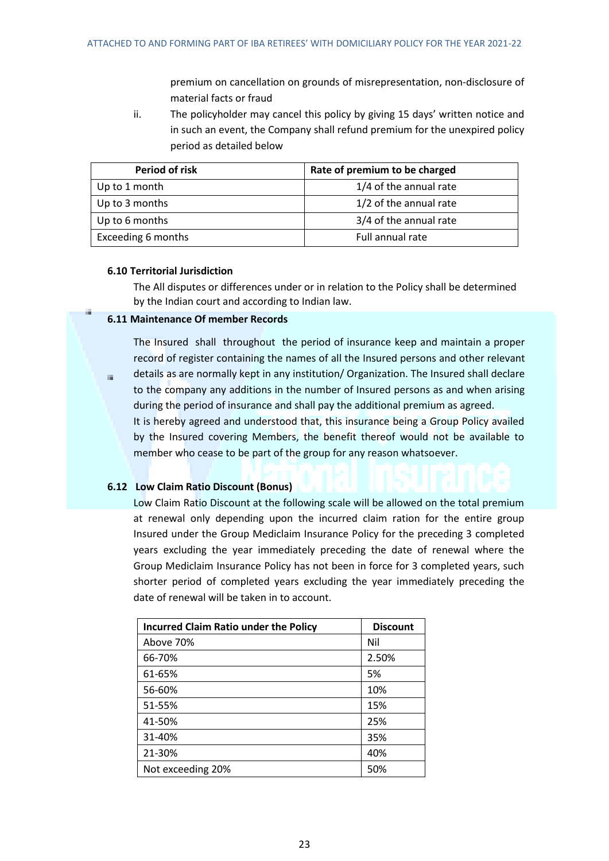premium on cancellation on grounds of misrepresentation, non-disclosure of material facts or fraud

ii. The policyholder may cancel this policy by giving 15 days' written notice and in such an event, the Company shall refund premium for the unexpired policy period as detailed below

| Period of risk     | Rate of premium to be charged |
|--------------------|-------------------------------|
| Up to 1 month      | 1/4 of the annual rate        |
| Up to 3 months     | 1/2 of the annual rate        |
| Up to 6 months     | 3/4 of the annual rate        |
| Exceeding 6 months | Full annual rate              |

### **6.10 Territorial Jurisdiction**

 $\bar{m}$ 

The All disputes or differences under or in relation to the Policy shall be determined by the Indian court and according to Indian law.

## **6.11 Maintenance Of member Records**

The Insured shall throughout the period of insurance keep and maintain a proper record of register containing the names of all the Insured persons and other relevant details as are normally kept in any institution/ Organization. The Insured shall declare

to the company any additions in the number of Insured persons as and when arising during the period of insurance and shall pay the additional premium as agreed. It is hereby agreed and understood that, this insurance being a Group Policy availed by the Insured covering Members, the benefit thereof would not be available to member who cease to be part of the group for any reason whatsoever.

## **6.12 Low Claim Ratio Discount (Bonus)**

Low Claim Ratio Discount at the following scale will be allowed on the total premium at renewal only depending upon the incurred claim ration for the entire group Insured under the Group Mediclaim Insurance Policy for the preceding 3 completed years excluding the year immediately preceding the date of renewal where the Group Mediclaim Insurance Policy has not been in force for 3 completed years, such shorter period of completed years excluding the year immediately preceding the date of renewal will be taken in to account.

| <b>Incurred Claim Ratio under the Policy</b> | <b>Discount</b> |
|----------------------------------------------|-----------------|
| Above 70%                                    | Nil             |
| 66-70%                                       | 2.50%           |
| 61-65%                                       | 5%              |
| 56-60%                                       | 10%             |
| 51-55%                                       | 15%             |
| 41-50%                                       | 25%             |
| 31-40%                                       | 35%             |
| 21-30%                                       | 40%             |
| Not exceeding 20%                            | 50%             |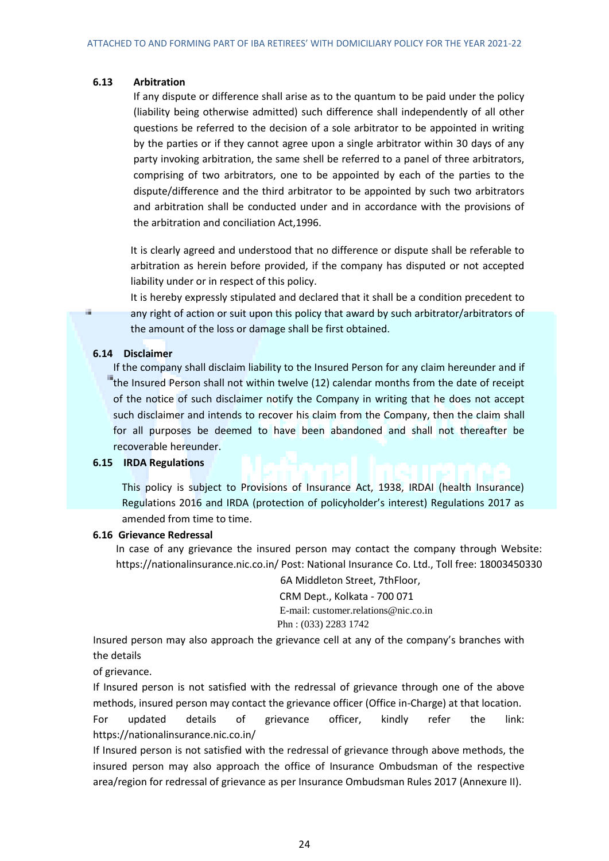### **6.13 Arbitration**

If any dispute or difference shall arise as to the quantum to be paid under the policy (liability being otherwise admitted) such difference shall independently of all other questions be referred to the decision of a sole arbitrator to be appointed in writing by the parties or if they cannot agree upon a single arbitrator within 30 days of any party invoking arbitration, the same shell be referred to a panel of three arbitrators, comprising of two arbitrators, one to be appointed by each of the parties to the dispute/difference and the third arbitrator to be appointed by such two arbitrators and arbitration shall be conducted under and in accordance with the provisions of the arbitration and conciliation Act,1996.

It is clearly agreed and understood that no difference or dispute shall be referable to arbitration as herein before provided, if the company has disputed or not accepted liability under or in respect of this policy.

It is hereby expressly stipulated and declared that it shall be a condition precedent to any right of action or suit upon this policy that award by such arbitrator/arbitrators of the amount of the loss or damage shall be first obtained.

### **6.14 Disclaimer**

÷

If the company shall disclaim liability to the Insured Person for any claim hereunder and if the Insured Person shall not within twelve (12) calendar months from the date of receipt of the notice of such disclaimer notify the Company in writing that he does not accept such disclaimer and intends to recover his claim from the Company, then the claim shall for all purposes be deemed to have been abandoned and shall not thereafter be recoverable hereunder.

## **6.15 IRDA Regulations**

This policy is subject to Provisions of Insurance Act, 1938, IRDAI (health Insurance) Regulations 2016 and IRDA (protection of policyholder's interest) Regulations 2017 as amended from time to time.

## **6.16 Grievance Redressal**

In case of any grievance the insured person may contact the company through Website: https://nationalinsurance.nic.co.in/ Post: National Insurance Co. Ltd., Toll free: 18003450330

6A Middleton Street, 7thFloor,

 CRM Dept., Kolkata - 700 071 E-mail: [customer.relations@nic.co.in](mailto:customer.relations@nic.co.in) Phn : (033) 2283 1742

Insured person may also approach the grievance cell at any of the company's branches with the details

of grievance.

If Insured person is not satisfied with the redressal of grievance through one of the above methods, insured person may contact the grievance officer (Office in-Charge) at that location. For updated details of grievance officer, kindly refer the link: https://nationalinsurance.nic.co.in/

If Insured person is not satisfied with the redressal of grievance through above methods, the insured person may also approach the office of Insurance Ombudsman of the respective area/region for redressal of grievance as per Insurance Ombudsman Rules 2017 (Annexure II).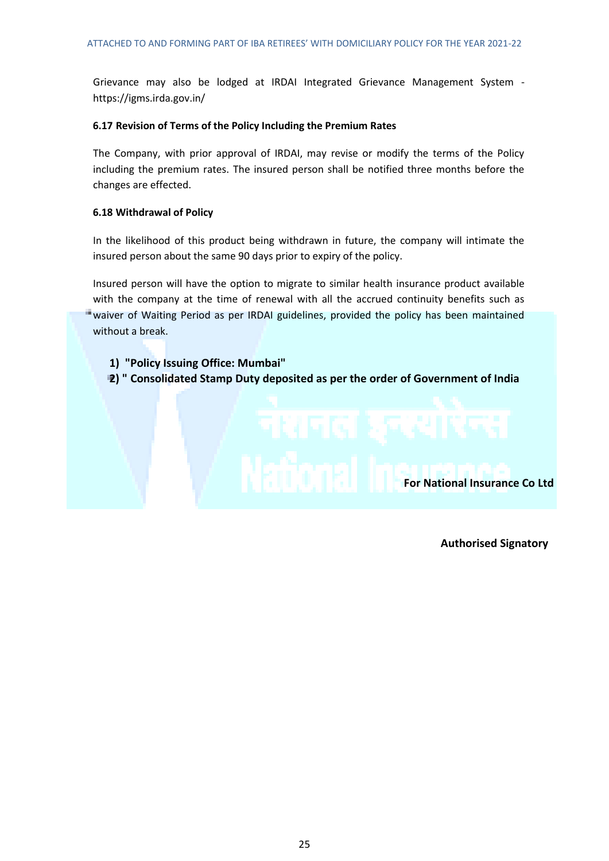Grievance may also be lodged at IRDAI Integrated Grievance Management System https://igms.irda.gov.in/

### **6.17 Revision of Terms of the Policy Including the Premium Rates**

The Company, with prior approval of IRDAI, may revise or modify the terms of the Policy including the premium rates. The insured person shall be notified three months before the changes are effected.

### **6.18 Withdrawal of Policy**

In the likelihood of this product being withdrawn in future, the company will intimate the insured person about the same 90 days prior to expiry of the policy.

Insured person will have the option to migrate to similar health insurance product available with the company at the time of renewal with all the accrued continuity benefits such as waiver of Waiting Period as per IRDAI guidelines, provided the policy has been maintained without a break.

- **1) "Policy Issuing Office: Mumbai"**
- **2) " Consolidated Stamp Duty deposited as per the order of Government of India**



**Authorised Signatory**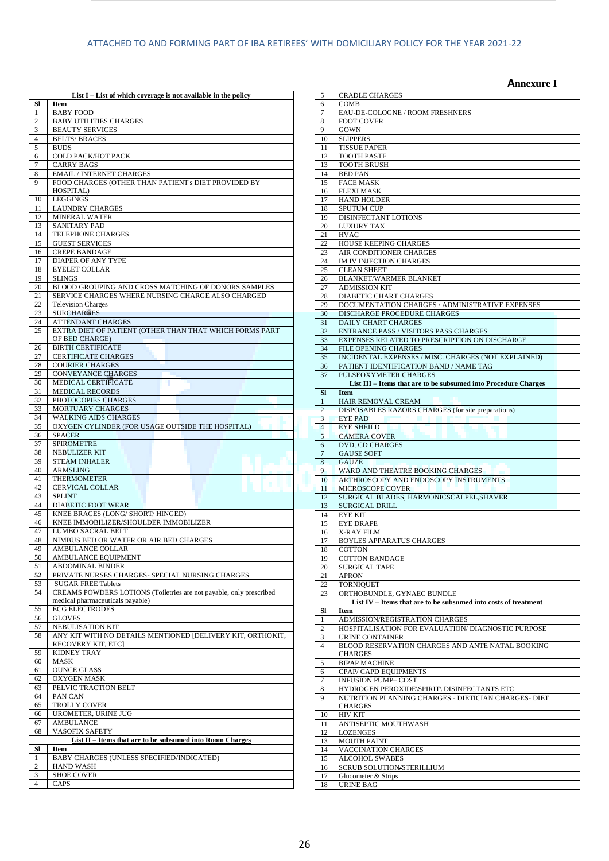|                       | List $I$ – List of which coverage is not available in the policy                          |
|-----------------------|-------------------------------------------------------------------------------------------|
| Sl<br>1               | <b>Item</b><br><b>BABY FOOD</b>                                                           |
| 2                     | <b>BABY UTILITIES CHARGES</b>                                                             |
| 3                     | <b>BEAUTY SERVICES</b>                                                                    |
| $\overline{4}$<br>5   | <b>BELTS/BRACES</b><br><b>BUDS</b>                                                        |
| 6                     | COLD PACK/HOT PACK                                                                        |
| 7                     | <b>CARRY BAGS</b>                                                                         |
| 8                     | <b>EMAIL / INTERNET CHARGES</b>                                                           |
| 9                     | FOOD CHARGES (OTHER THAN PATIENT's DIET PROVIDED BY<br>HOSPITAL)                          |
| 10                    | <b>LEGGINGS</b>                                                                           |
| 11                    | <b>LAUNDRY CHARGES</b>                                                                    |
| 12<br>13              | MINERAL WATER<br><b>SANITARY PAD</b>                                                      |
| 14                    | TELEPHONE CHARGES                                                                         |
| 15                    | <b>GUEST SERVICES</b>                                                                     |
| 16                    | <b>CREPE BANDAGE</b>                                                                      |
| 17<br>18              | DIAPER OF ANY TYPE<br><b>EYELET COLLAR</b>                                                |
| 19                    | <b>SLINGS</b>                                                                             |
| 20                    | BLOOD GROUPING AND CROSS MATCHING OF DONORS SAMPLES                                       |
| 21<br>22              | SERVICE CHARGES WHERE NURSING CHARGE ALSO CHARGED<br><b>Television Charges</b>            |
| 23                    | <b>SURCHARGES</b>                                                                         |
| 24                    | <b>ATTENDANT CHARGES</b>                                                                  |
| 25                    | EXTRA DIET OF PATIENT (OTHER THAN THAT WHICH FORMS PART<br>OF BED CHARGE)                 |
| 26                    | <b>BIRTH CERTIFICATE</b>                                                                  |
| 27                    | <b>CERTIFICATE CHARGES</b>                                                                |
| 28                    | <b>COURIER CHARGES</b>                                                                    |
| 29<br>30              | <b>CONVEYANCE CHARGES</b><br>MEDICAL CERTIFICATE                                          |
| 31                    | <b>MEDICAL RECORDS</b>                                                                    |
| 32                    | PHOTOCOPIES CHARGES                                                                       |
| 33                    | MORTUARY CHARGES                                                                          |
| 34<br>35              | <b>WALKING AIDS CHARGES</b><br>OXYGEN CYLINDER (FOR USAGE OUTSIDE THE HOSPITAL)           |
| 36                    | <b>SPACER</b>                                                                             |
| 37                    | <b>SPIROMETRE</b>                                                                         |
| 38<br>39              | <b>NEBULIZER KIT</b><br><b>STEAM INHALER</b>                                              |
| 40                    | <b>ARMSLING</b>                                                                           |
| 41                    | <b>THERMOMETER</b>                                                                        |
| 42<br>43              | <b>CERVICAL COLLAR</b><br><b>SPLINT</b>                                                   |
| 44                    | DIABETIC FOOT WEAR                                                                        |
| 45                    | KNEE BRACES (LONG/ SHORT/ HINGED)                                                         |
| 46                    | KNEE IMMOBILIZER/SHOULDER IMMOBILIZER                                                     |
| 47<br>48              | LUMBO SACRAL BELT<br>NIMBUS BED OR WATER OR AIR BED CHARGES                               |
| 49                    | AMBULANCE COLLAR                                                                          |
| 50                    | AMBULANCE EQUIPMENT                                                                       |
| 51<br>52              | <b>ABDOMINAL BINDER</b><br>PRIVATE NURSES CHARGES- SPECIAL NURSING CHARGES                |
| 53                    | <b>SUGAR FREE Tablets</b>                                                                 |
| 54                    | CREAMS POWDERS LOTIONS (Toiletries are not payable, only prescribed                       |
|                       | medical pharmaceuticals payable)<br><b>ECG ELECTRODES</b>                                 |
| 55<br>$\overline{56}$ | <b>GLOVES</b>                                                                             |
| 57                    | NEBULISATION KIT                                                                          |
| 58                    | ANY KIT WITH NO DETAILS MENTIONED [DELIVERY KIT, ORTHOKIT,                                |
| 59                    | RECOVERY KIT, ETC]<br><b>KIDNEY TRAY</b>                                                  |
| 60                    | <b>MASK</b>                                                                               |
| 61                    | <b>OUNCE GLASS</b>                                                                        |
| 62<br>63              | <b>OXYGEN MASK</b><br>PELVIC TRACTION BELT                                                |
|                       |                                                                                           |
| 64                    | PAN CAN                                                                                   |
| 65                    | TROLLY COVER                                                                              |
| 66                    | UROMETER, URINE JUG                                                                       |
| 67                    | <b>AMBULANCE</b>                                                                          |
| 68                    | <b>VASOFIX SAFETY</b><br><b>List II - Items that are to be subsumed into Room Charges</b> |
| Sl                    | Item                                                                                      |
| 1                     | BABY CHARGES (UNLESS SPECIFIED/INDICATED)                                                 |
| 2<br>3                | <b>HAND WASH</b><br><b>SHOE COVER</b>                                                     |

|                | <b>Annexure I</b>                                                      |
|----------------|------------------------------------------------------------------------|
| 5              | <b>CRADLE CHARGES</b>                                                  |
| 6              | COMB                                                                   |
| 7              | EAU-DE-COLOGNE / ROOM FRESHNERS                                        |
| 8<br>9         | <b>FOOT COVER</b><br><b>GOWN</b>                                       |
| 10             | <b>SLIPPERS</b>                                                        |
| 11             | <b>TISSUE PAPER</b>                                                    |
| 12             | <b>TOOTH PASTE</b>                                                     |
| 13             | <b>TOOTH BRUSH</b>                                                     |
| 14             | <b>BED PAN</b>                                                         |
| 15             | <b>FACE MASK</b>                                                       |
| 16             | <b>FLEXI MASK</b>                                                      |
| 17<br>18       | <b>HAND HOLDER</b><br><b>SPUTUM CUP</b>                                |
| 19             | DISINFECTANT LOTIONS                                                   |
| 20             | <b>LUXURY TAX</b>                                                      |
| 21             | <b>HVAC</b>                                                            |
| 22             | HOUSE KEEPING CHARGES                                                  |
| 23             | AIR CONDITIONER CHARGES                                                |
| 24             | IM IV INJECTION CHARGES                                                |
| 25             | <b>CLEAN SHEET</b>                                                     |
| 26             | BLANKET/WARMER BLANKET                                                 |
| 27<br>28       | <b>ADMISSION KIT</b><br>DIABETIC CHART CHARGES                         |
| 29             | DOCUMENTATION CHARGES / ADMINISTRATIVE EXPENSES                        |
| 30             | DISCHARGE PROCEDURE CHARGES                                            |
| 31             | DAILY CHART CHARGES                                                    |
| 32             | <b>ENTRANCE PASS / VISITORS PASS CHARGES</b>                           |
| 33             | EXPENSES RELATED TO PRESCRIPTION ON DISCHARGE                          |
| 34             | FILE OPENING CHARGES                                                   |
| 35             | INCIDENTAL EXPENSES / MISC. CHARGES (NOT EXPLAINED)                    |
| 36<br>37       | PATIENT IDENTIFICATION BAND / NAME TAG<br><b>PULSEOXYMETER CHARGES</b> |
|                | List III - Items that are to be subsumed into Procedure Charges        |
| Sl             | <b>Item</b>                                                            |
| $\mathbf{1}$   | HAIR REMOVAL CREAM                                                     |
| $\overline{2}$ | DISPOSABLES RAZORS CHARGES (for site preparations)                     |
| 3              | <b>EYE PAD</b>                                                         |
| $\overline{4}$ | <b>EYE SHEILD</b>                                                      |
| $\sqrt{5}$     | <b>CAMERA COVER</b>                                                    |
| 6<br>$\tau$    | DVD, CD CHARGES<br><b>GAUSE SOFT</b>                                   |
| 8              | <b>GAUZE</b>                                                           |
| 9              | WARD AND THEATRE BOOKING CHARGES                                       |
| 10             | ARTHROSCOPY AND ENDOSCOPY INSTRUMENTS                                  |
| 11             | MICROSCOPE COVER                                                       |
| 12             | SURGICAL BLADES, HARMONICSCALPEL, SHAVER                               |
| 13<br>14       | SURGICAL DRILL                                                         |
| 15             | EYE KIT<br><b>EYE DRAPE</b>                                            |
| 16             | X-RAY FILM                                                             |
| 17             | BOYLES APPARATUS CHARGES                                               |
| 18             | <b>COTTON</b>                                                          |
| 19             | <b>COTTON BANDAGE</b>                                                  |
| 20             | <b>SURGICAL TAPE</b>                                                   |
| 21             | <b>APRON</b>                                                           |
| 22<br>23       | <b>TORNIQUET</b><br>ORTHOBUNDLE, GYNAEC BUNDLE                         |
|                | List IV - Items that are to be subsumed into costs of treatment        |
| S1             | Item                                                                   |
| $\mathbf{1}$   | ADMISSION/REGISTRATION CHARGES                                         |
| 2              | HOSPITALISATION FOR EVALUATION/ DIAGNOSTIC PURPOSE                     |
| 3              | <b>URINE CONTAINER</b>                                                 |
| $\overline{4}$ | BLOOD RESERVATION CHARGES AND ANTE NATAL BOOKING                       |
|                | <b>CHARGES</b>                                                         |
| 5<br>6         | <b>BIPAP MACHINE</b><br>CPAP/ CAPD EQUIPMENTS                          |
| 7              | <b>INFUSION PUMP- COST</b>                                             |
| 8              | HYDROGEN PEROXIDE\SPIRIT\ DISINFECTANTS ETC                            |
| 9              | NUTRITION PLANNING CHARGES - DIETICIAN CHARGES- DIET                   |
|                | CHARGES                                                                |
| 10             | <b>HIV KIT</b>                                                         |
| 11             | ANTISEPTIC MOUTHWASH                                                   |
| 12             | <b>LOZENGES</b>                                                        |
| 13             | <b>MOUTH PAINT</b>                                                     |
|                |                                                                        |
| 14             | VACCINATION CHARGES                                                    |
| 15             | <b>ALCOHOL SWABES</b>                                                  |
| 16<br>17       | SCRUB SOLUTION/STERILLIUM<br>Glucometer & Strips                       |